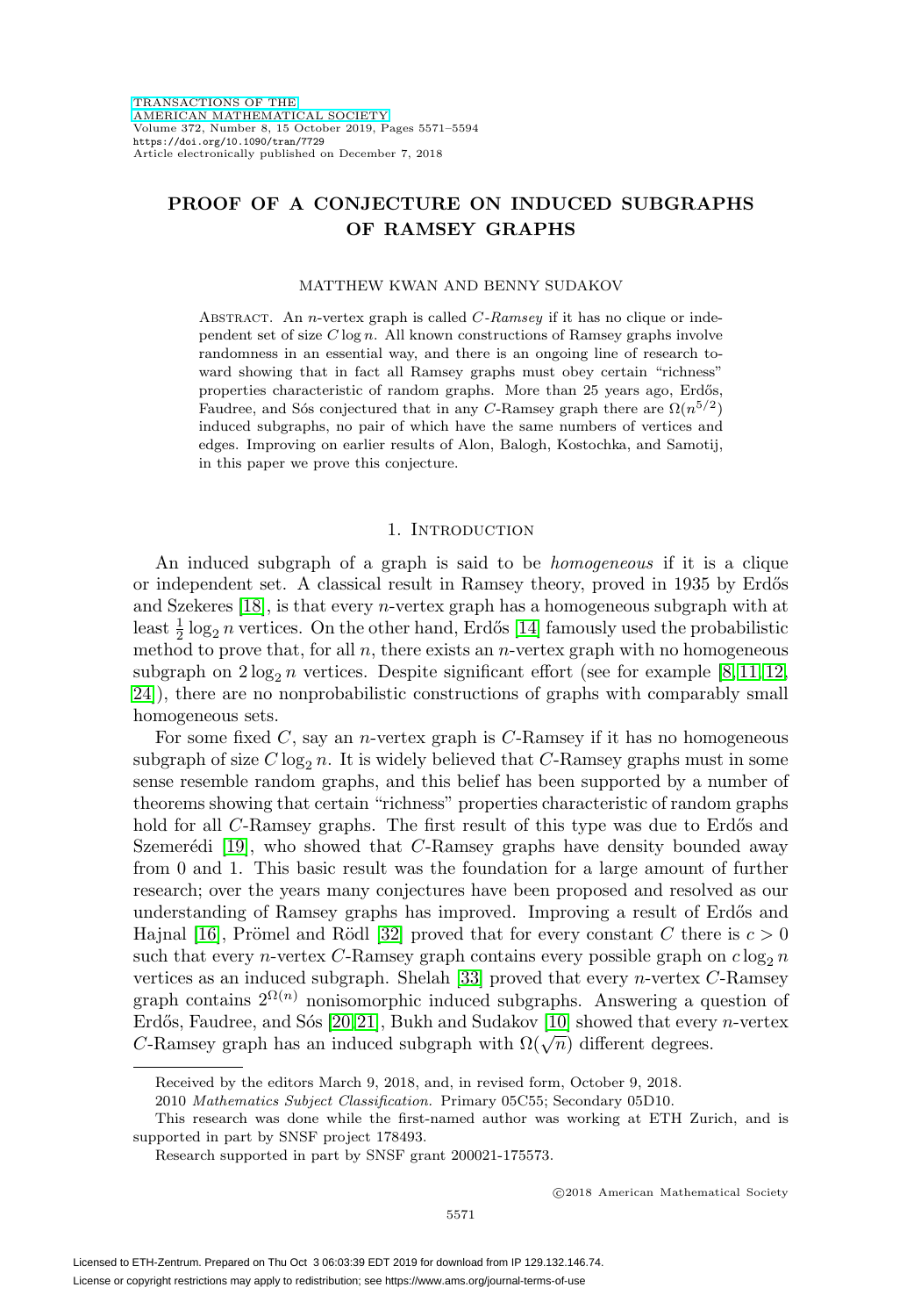# **PROOF OF A CONJECTURE ON INDUCED SUBGRAPHS OF RAMSEY GRAPHS**

### MATTHEW KWAN AND BENNY SUDAKOV

ABSTRACT. An *n*-vertex graph is called  $C$ -Ramsey if it has no clique or independent set of size  $C \log n$ . All known constructions of Ramsey graphs involve randomness in an essential way, and there is an ongoing line of research toward showing that in fact all Ramsey graphs must obey certain "richness" properties characteristic of random graphs. More than 25 years ago, Erdős, Faudree, and Sốs conjectured that in any C-Ramsey graph there are  $\Omega(n^{5/2})$ induced subgraphs, no pair of which have the same numbers of vertices and edges. Improving on earlier results of Alon, Balogh, Kostochka, and Samotij, in this paper we prove this conjecture.

#### 1. INTRODUCTION

An induced subgraph of a graph is said to be homogeneous if it is a clique or independent set. A classical result in Ramsey theory, proved in 1935 by Erdős and Szekeres [\[18\]](#page-22-0), is that every n-vertex graph has a homogeneous subgraph with at least  $\frac{1}{2} \log_2 n$  vertices. On the other hand, Erdős [\[14\]](#page-22-1) famously used the probabilistic method to prove that, for all  $n$ , there exists an  $n$ -vertex graph with no homogeneous subgraph on  $2\log_2 n$  vertices. Despite significant effort (see for example [\[8,](#page-22-2) [11,](#page-22-3) [12,](#page-22-4) [24\]](#page-23-0)), there are no nonprobabilistic constructions of graphs with comparably small homogeneous sets.

For some fixed  $C$ , say an *n*-vertex graph is  $C$ -Ramsey if it has no homogeneous subgraph of size  $C \log_2 n$ . It is widely believed that C-Ramsey graphs must in some sense resemble random graphs, and this belief has been supported by a number of theorems showing that certain "richness" properties characteristic of random graphs hold for all C-Ramsey graphs. The first result of this type was due to Erdős and Szemerédi  $[19]$ , who showed that C-Ramsey graphs have density bounded away from 0 and 1. This basic result was the foundation for a large amount of further research; over the years many conjectures have been proposed and resolved as our understanding of Ramsey graphs has improved. Improving a result of Erdős and Hajnal [\[16\]](#page-22-6), Prömel and Rödl [\[32\]](#page-23-1) proved that for every constant C there is  $c > 0$ such that every n-vertex C-Ramsey graph contains every possible graph on  $c \log_2 n$ vertices as an induced subgraph. Shelah [\[33\]](#page-23-2) proved that every  $n$ -vertex  $C$ -Ramsey graph contains  $2^{\Omega(n)}$  nonisomorphic induced subgraphs. Answering a question of Erdős, Faudree, and Sós [\[20,](#page-22-7)[21\]](#page-22-8), Bukh and Sudakov [\[10\]](#page-22-9) showed that every n-vertex C-Ramsey graph has an induced subgraph with  $\Omega(\sqrt{n})$  different degrees.

Received by the editors March 9, 2018, and, in revised form, October 9, 2018.

<sup>2010</sup> Mathematics Subject Classification. Primary 05C55; Secondary 05D10.

This research was done while the first-named author was working at ETH Zurich, and is supported in part by SNSF project 178493.

Research supported in part by SNSF grant 200021-175573.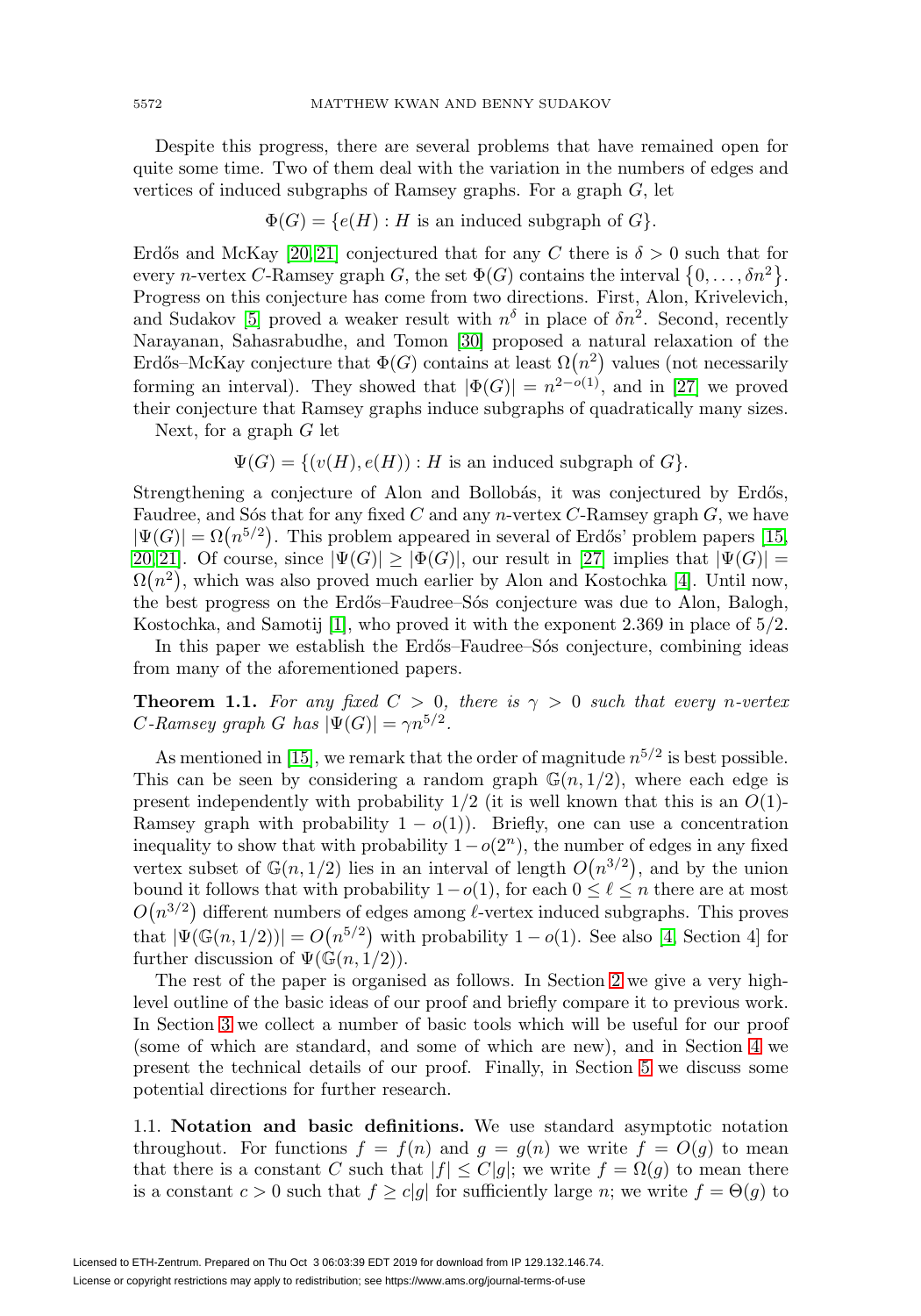Despite this progress, there are several problems that have remained open for quite some time. Two of them deal with the variation in the numbers of edges and vertices of induced subgraphs of Ramsey graphs. For a graph G, let

 $\Phi(G) = \{e(H) : H$  is an induced subgraph of  $G\}.$ 

Erdős and McKay [\[20,](#page-22-7) [21\]](#page-22-8) conjectured that for any C there is  $\delta > 0$  such that for every *n*-vertex *C*-Ramsey graph *G*, the set  $\Phi(G)$  contains the interval  $\{0,\ldots,\delta n^2\}$ . Progress on this conjecture has come from two directions. First, Alon, Krivelevich, and Sudakov [\[5\]](#page-22-10) proved a weaker result with  $n^{\delta}$  in place of  $\delta n^2$ . Second, recently Narayanan, Sahasrabudhe, and Tomon [\[30\]](#page-23-3) proposed a natural relaxation of the Erdős–McKay conjecture that  $\Phi(G)$  contains at least  $\Omega(n^2)$  values (not necessarily forming an interval). They showed that  $|\Phi(G)| = n^{2-o(1)}$ , and in [\[27\]](#page-23-4) we proved their conjecture that Ramsey graphs induce subgraphs of quadratically many sizes.

Next, for a graph  $G$  let

 $\Psi(G) = \{ (v(H), e(H)) : H \text{ is an induced subgraph of } G \}.$ 

Strengthening a conjecture of Alon and Bollobás, it was conjectured by Erdős, Faudree, and So's that for any fixed C and any n-vertex C-Ramsey graph  $G$ , we have  $|\Psi(G)| = \Omega(n^{5/2})$ . This problem appeared in several of Erdős' problem papers [\[15,](#page-22-11) [20,](#page-22-7) [21\]](#page-22-8). Of course, since  $|\Psi(G)| \geq |\Phi(G)|$ , our result in [\[27\]](#page-23-4) implies that  $|\Psi(G)| =$  $\Omega(n^2)$ , which was also proved much earlier by Alon and Kostochka [\[4\]](#page-22-12). Until now, the best progress on the Erd˝os–Faudree–S´os conjecture was due to Alon, Balogh, Kostochka, and Samotij [\[1\]](#page-22-13), who proved it with the exponent 2.369 in place of 5/2.

In this paper we establish the Erdős–Faudree–Sós conjecture, combining ideas from many of the aforementioned papers.

<span id="page-1-0"></span>**Theorem 1.1.** For any fixed  $C > 0$ , there is  $\gamma > 0$  such that every n-vertex C-Ramsey graph G has  $|\Psi(G)| = \gamma n^{5/2}$ .

As mentioned in [\[15\]](#page-22-11), we remark that the order of magnitude  $n^{5/2}$  is best possible. This can be seen by considering a random graph  $\mathbb{G}(n, 1/2)$ , where each edge is present independently with probability  $1/2$  (it is well known that this is an  $O(1)$ -Ramsey graph with probability  $1 - o(1)$ ). Briefly, one can use a concentration inequality to show that with probability  $1-o(2<sup>n</sup>)$ , the number of edges in any fixed vertex subset of  $\mathbb{G}(n,1/2)$  lies in an interval of length  $O(n^{3/2})$ , and by the union bound it follows that with probability  $1-o(1)$ , for each  $0 \leq \ell \leq n$  there are at most  $O(n^{3/2})$  different numbers of edges among  $\ell$ -vertex induced subgraphs. This proves that  $|\Psi(\mathbb{G}(n,1/2))| = O(n^{5/2})$  with probability  $1-o(1)$ . See also [\[4,](#page-22-12) Section 4] for further discussion of  $\Psi(\mathbb{G}(n,1/2)).$ 

The rest of the paper is organised as follows. In Section [2](#page-2-0) we give a very highlevel outline of the basic ideas of our proof and briefly compare it to previous work. In Section [3](#page-5-0) we collect a number of basic tools which will be useful for our proof (some of which are standard, and some of which are new), and in Section [4](#page-9-0) we present the technical details of our proof. Finally, in Section [5](#page-21-0) we discuss some potential directions for further research.

<span id="page-1-1"></span>1.1. **Notation and basic definitions.** We use standard asymptotic notation throughout. For functions  $f = f(n)$  and  $g = g(n)$  we write  $f = O(g)$  to mean that there is a constant C such that  $|f| \leq C|g|$ ; we write  $f = \Omega(g)$  to mean there is a constant  $c > 0$  such that  $f \ge c|g|$  for sufficiently large n; we write  $f = \Theta(g)$  to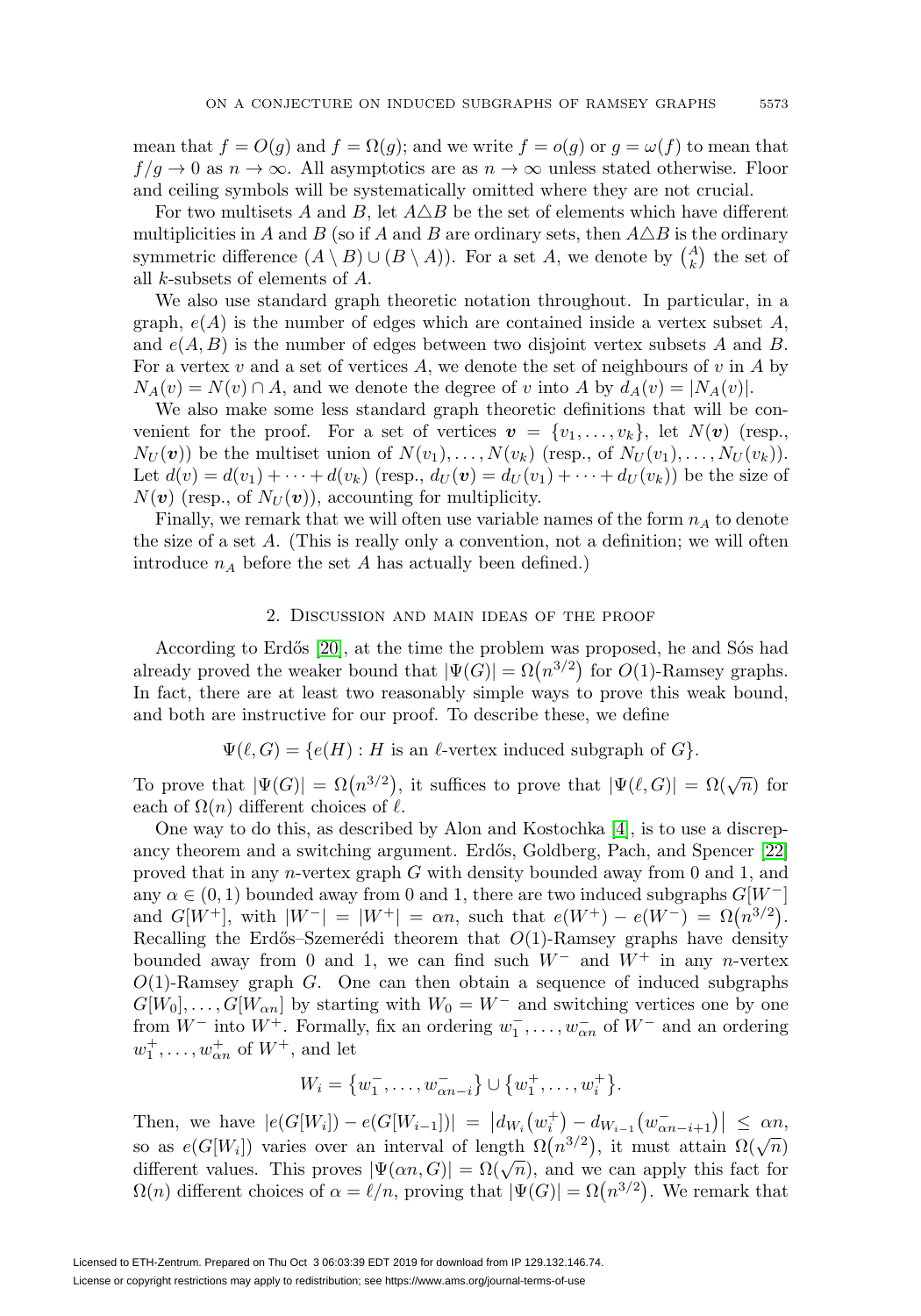mean that  $f = O(g)$  and  $f = \Omega(g)$ ; and we write  $f = o(g)$  or  $g = \omega(f)$  to mean that  $f/q \to 0$  as  $n \to \infty$ . All asymptotics are as  $n \to \infty$  unless stated otherwise. Floor and ceiling symbols will be systematically omitted where they are not crucial.

For two multisets A and B, let  $A \triangle B$  be the set of elements which have different multiplicities in A and B (so if A and B are ordinary sets, then  $A\triangle B$  is the ordinary symmetric difference  $(A \setminus B) \cup (B \setminus A)$ . For a set A, we denote by  $\binom{A}{k}$  the set of all k-subsets of elements of A.

We also use standard graph theoretic notation throughout. In particular, in a graph,  $e(A)$  is the number of edges which are contained inside a vertex subset A, and  $e(A, B)$  is the number of edges between two disjoint vertex subsets A and B. For a vertex v and a set of vertices  $A$ , we denote the set of neighbours of v in  $A$  by  $N_A(v) = N(v) \cap A$ , and we denote the degree of v into A by  $d_A(v) = |N_A(v)|$ .

We also make some less standard graph theoretic definitions that will be convenient for the proof. For a set of vertices  $v = \{v_1, \ldots, v_k\}$ , let  $N(v)$  (resp.,  $N_U(\boldsymbol{v})$  be the multiset union of  $N(v_1),\ldots,N(v_k)$  (resp., of  $N_U(v_1),\ldots,N_U(v_k)$ ). Let  $d(v) = d(v_1) + \cdots + d(v_k)$  (resp.,  $d_U(v) = d_U(v_1) + \cdots + d_U(v_k)$ ) be the size of  $N(\mathbf{v})$  (resp., of  $N_U(\mathbf{v})$ ), accounting for multiplicity.

Finally, we remark that we will often use variable names of the form  $n_A$  to denote the size of a set A. (This is really only a convention, not a definition; we will often introduce  $n_A$  before the set A has actually been defined.)

#### 2. Discussion and main ideas of the proof

<span id="page-2-0"></span>According to Erdős [\[20\]](#page-22-7), at the time the problem was proposed, he and Sós had already proved the weaker bound that  $|\Psi(G)| = \Omega(n^{3/2})$  for  $O(1)$ -Ramsey graphs. In fact, there are at least two reasonably simple ways to prove this weak bound, and both are instructive for our proof. To describe these, we define

$$
\Psi(\ell, G) = \{e(H) : H \text{ is an } \ell\text{-vertex induced subgraph of } G\}.
$$

To prove that  $|\Psi(G)| = \Omega(n^{3/2})$ , it suffices to prove that  $|\Psi(\ell, G)| = \Omega(\sqrt{n})$  for each of  $\Omega(n)$  different choices of  $\ell$ .

One way to do this, as described by Alon and Kostochka [\[4\]](#page-22-12), is to use a discrep-ancy theorem and a switching argument. Erdős, Goldberg, Pach, and Spencer [\[22\]](#page-23-5) proved that in any n-vertex graph G with density bounded away from 0 and 1, and any  $\alpha \in (0, 1)$  bounded away from 0 and 1, there are two induced subgraphs  $G[W^-]$ and  $G[W^+]$ , with  $|W^-| = |W^+| = \alpha n$ , such that  $e(W^+) - e(W^-) = \Omega(n^{3/2})$ . Recalling the Erdős–Szemerédi theorem that  $O(1)$ -Ramsey graphs have density bounded away from 0 and 1, we can find such  $W^-$  and  $W^+$  in any n-vertex  $O(1)$ -Ramsey graph G. One can then obtain a sequence of induced subgraphs  $G[W_0],\ldots,G[W_{\alpha n}]$  by starting with  $W_0 = W^-$  and switching vertices one by one from  $W^-$  into  $W^+$ . Formally, fix an ordering  $w_1^-, \ldots, w_{\alpha n}^-$  of  $W^-$  and an ordering  $w_1^{\dagger}, \ldots, w_{\alpha n}^{\dagger}$  of  $W^{\dagger}$ , and let

$$
W_i = \{w_1^-, \ldots, w_{\alpha n - i}^-\} \cup \{w_1^+, \ldots, w_i^+\}.
$$

Then, we have  $|e(G[W_i]) - e(G[W_{i-1}])| = |dw_i(w_i^+) - dw_{i-1}(w_{\alpha n-i+1}^-)| \leq \alpha n,$ so as  $e(G[W_i])$  varies over an interval of length  $\Omega(n^{3/2})$ , it must attain  $\Omega(\sqrt{n})$ different values. This proves  $|\Psi(\alpha n, G)| = \Omega(\sqrt{n})$ , and we can apply this fact for  $\Omega(n)$  different choices of  $\alpha = \ell/n$ , proving that  $|\Psi(G)| = \Omega(n^{3/2})$ . We remark that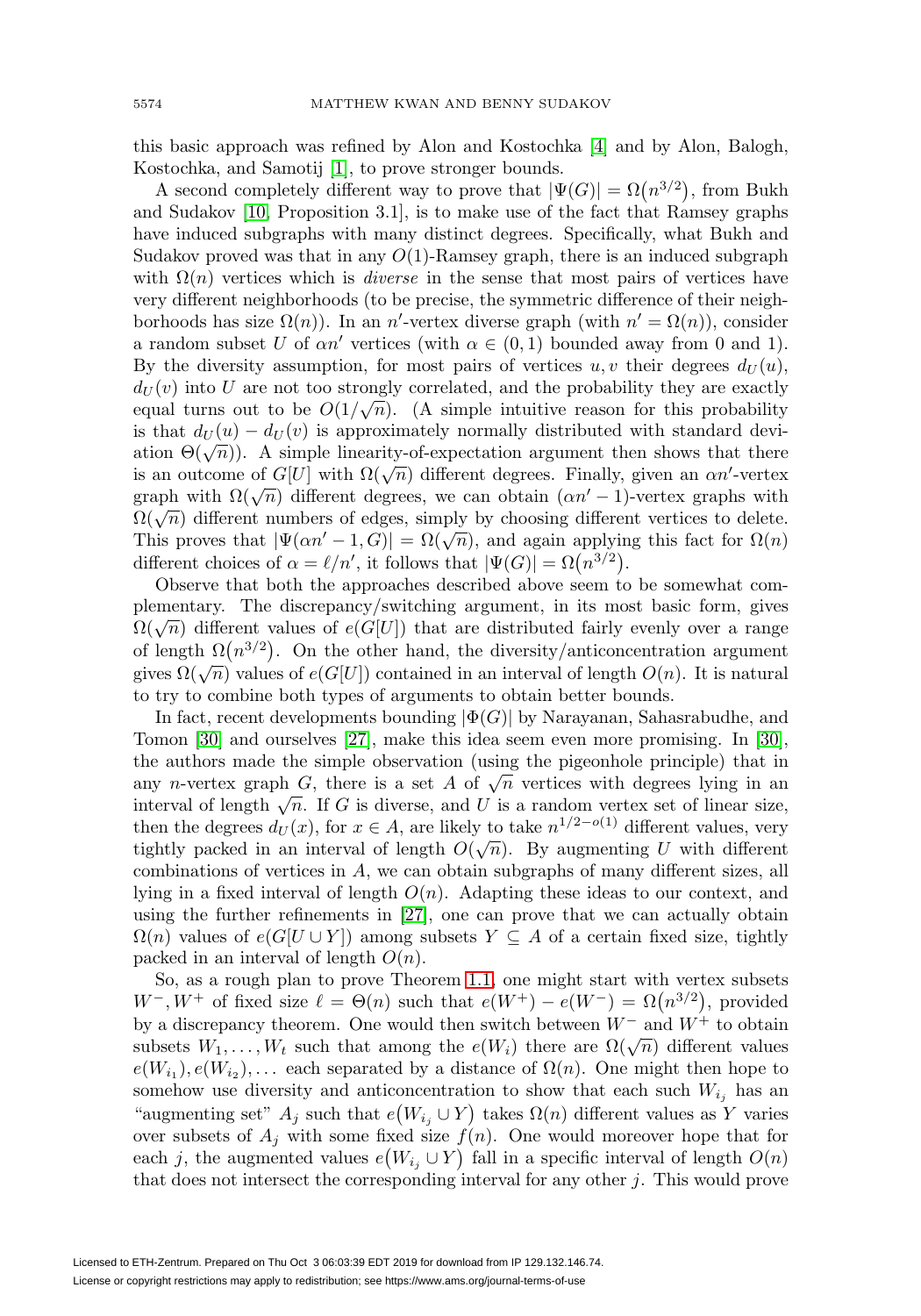this basic approach was refined by Alon and Kostochka [\[4\]](#page-22-12) and by Alon, Balogh, Kostochka, and Samotij [\[1\]](#page-22-13), to prove stronger bounds.

A second completely different way to prove that  $|\Psi(G)| = \Omega(n^{3/2})$ , from Bukh and Sudakov [\[10,](#page-22-9) Proposition 3.1], is to make use of the fact that Ramsey graphs have induced subgraphs with many distinct degrees. Specifically, what Bukh and Sudakov proved was that in any  $O(1)$ -Ramsey graph, there is an induced subgraph with  $\Omega(n)$  vertices which is *diverse* in the sense that most pairs of vertices have very different neighborhoods (to be precise, the symmetric difference of their neighborhoods has size  $\Omega(n)$ ). In an *n'*-vertex diverse graph (with  $n' = \Omega(n)$ ), consider a random subset U of  $\alpha n'$  vertices (with  $\alpha \in (0,1)$  bounded away from 0 and 1). By the diversity assumption, for most pairs of vertices u, v their degrees  $d_U(u)$ ,  $d_U(v)$  into U are not too strongly correlated, and the probability they are exactly  $u_U(v)$  more are not too strongly correlated, and the probability they are exactly equal turns out to be  $O(1/\sqrt{n})$ . (A simple intuitive reason for this probability is that  $d_U(u) - d_U(v)$  is approximately normally distributed with standard deviation  $\Theta(\sqrt{n})$ . A simple linearity-of-expectation argument then shows that there ation  $\mathcal{O}(\sqrt{n})$ . A simple iniciality-or-expectation argument then shows that there is an outcome of  $G[U]$  with  $\Omega(\sqrt{n})$  different degrees. Finally, given an  $\alpha n'$ -vertex is an outcome of  $G[U]$  with  $\Omega(\sqrt{n})$  different degrees, we can obtain  $(\alpha n' - 1)$ -vertex graphs with  $\Omega(\sqrt{n})$  different degrees, we can obtain  $(\alpha n' - 1)$ -vertex graphs with  $\Omega(\sqrt{n})$  different numbers of edges, simply by choosing different vertices to delete. This proves that  $|\Psi(\alpha n'-1, G)| = \Omega(\sqrt{n})$ , and again applying this fact for  $\Omega(n)$ . different choices of  $\alpha = \ell/n'$ , it follows that  $|\Psi(G)| = \Omega(n^{3/2})$ .

Observe that both the approaches described above seem to be somewhat complementary. The discrepancy/switching argument, in its most basic form, gives  $\Omega(\sqrt{n})$  different values of  $e(G[U])$  that are distributed fairly evenly over a range of length  $\Omega(n^{3/2})$ . On the other hand, the diversity/anticoncentration argument gives  $\Omega(\sqrt{n})$  values of  $e(G[U])$  contained in an interval of length  $O(n)$ . It is natural to try to combine both types of arguments to obtain better bounds.

In fact, recent developments bounding  $|\Phi(G)|$  by Narayanan, Sahasrabudhe, and Tomon [\[30\]](#page-23-3) and ourselves [\[27\]](#page-23-4), make this idea seem even more promising. In [\[30\]](#page-23-3), the authors made the simple observation (using the pigeonhole principle) that in any n-vertex graph G, there is a set A of  $\sqrt{n}$  vertices with degrees lying in an interval of length  $\sqrt{n}$ . If G is diverse, and U is a random vertex set of linear size, then the degrees  $d_U(x)$ , for  $x \in A$ , are likely to take  $n^{1/2-o(1)}$  different values, very tightly packed in an interval of length  $O(\sqrt{n})$ . By augmenting U with different combinations of vertices in A, we can obtain subgraphs of many different sizes, all lying in a fixed interval of length  $O(n)$ . Adapting these ideas to our context, and using the further refinements in [\[27\]](#page-23-4), one can prove that we can actually obtain  $\Omega(n)$  values of  $e(G[U \cup Y])$  among subsets  $Y \subseteq A$  of a certain fixed size, tightly packed in an interval of length  $O(n)$ .

So, as a rough plan to prove Theorem [1.1,](#page-1-0) one might start with vertex subsets  $W^-, W^+$  of fixed size  $\ell = \Theta(n)$  such that  $e(W^+) - e(W^-) = \Omega(n^{3/2})$ , provided by a discrepancy theorem. One would then switch between  $W^-$  and  $W^+$  to obtain subsets  $W_1, \ldots, W_t$  such that among the  $e(W_i)$  there are  $\Omega(\sqrt{n})$  different values  $e(W_{i_1}), e(W_{i_2}), \ldots$  each separated by a distance of  $\Omega(n)$ . One might then hope to somehow use diversity and anticoncentration to show that each such  $W_{i_j}$  has an "augmenting set"  $A_j$  such that  $e(W_{i_j} \cup Y)$  takes  $\Omega(n)$  different values as Y varies over subsets of  $A_j$  with some fixed size  $f(n)$ . One would moreover hope that for each j, the augmented values  $e(W_{i_j} \cup Y)$  fall in a specific interval of length  $O(n)$ that does not intersect the corresponding interval for any other  $j$ . This would prove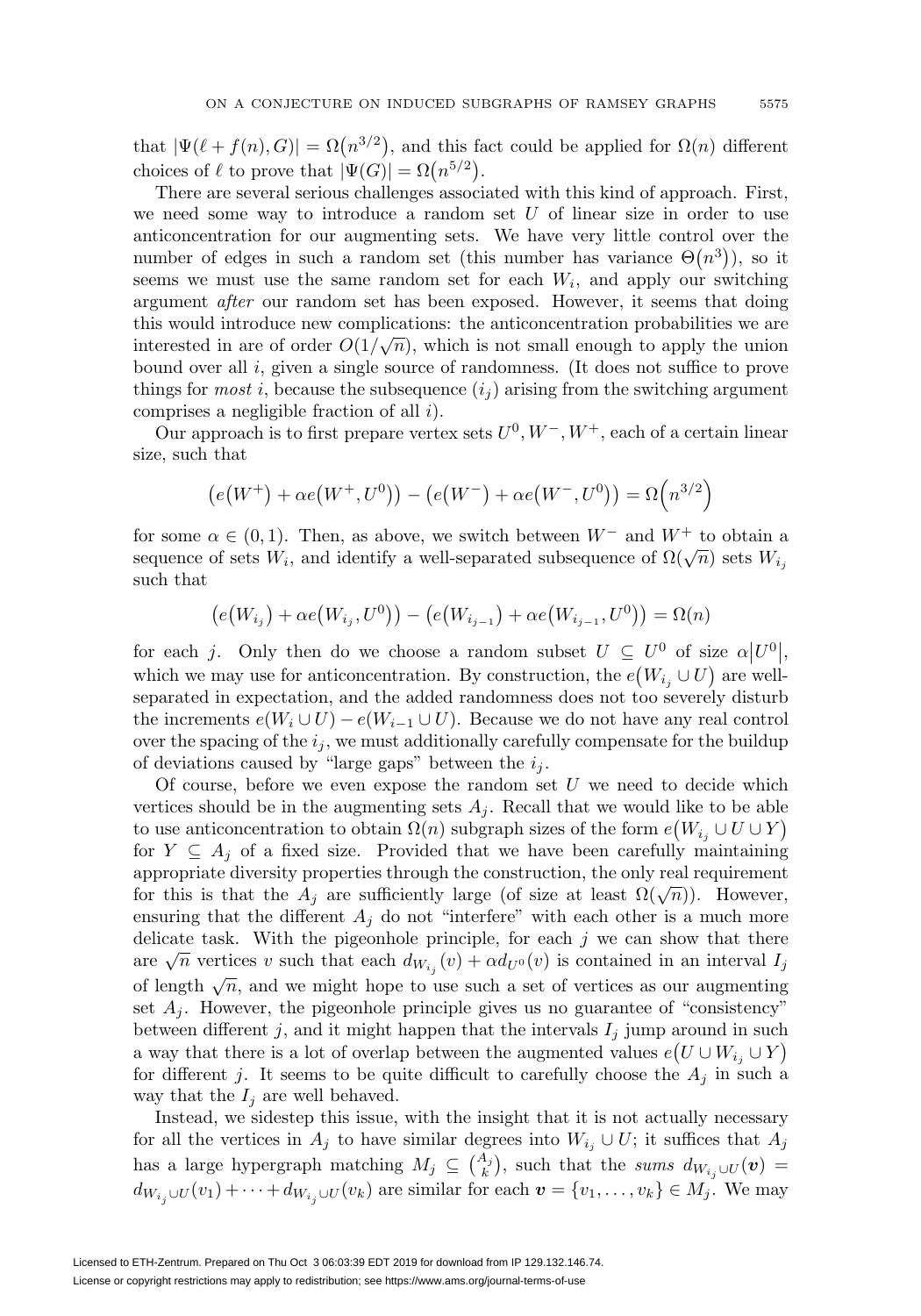that  $|\Psi(\ell + f(n), G)| = \Omega(n^{3/2})$ , and this fact could be applied for  $\Omega(n)$  different choices of  $\ell$  to prove that  $|\Psi(G)| = \Omega(n^{5/2})$ .

There are several serious challenges associated with this kind of approach. First, we need some way to introduce a random set  $U$  of linear size in order to use anticoncentration for our augmenting sets. We have very little control over the number of edges in such a random set (this number has variance  $\Theta(n^3)$ ), so it seems we must use the same random set for each  $W_i$ , and apply our switching argument after our random set has been exposed. However, it seems that doing this would introduce new complications: the anticoncentration probabilities we are interested in are of order  $O(1/\sqrt{n})$ , which is not small enough to apply the union bound over all i, given a single source of randomness. (It does not suffice to prove things for *most* i, because the subsequence  $(i<sub>i</sub>)$  arising from the switching argument comprises a negligible fraction of all i).

Our approach is to first prepare vertex sets  $U^0, W^-, W^+$ , each of a certain linear size, such that

$$
(e(W^+) + \alpha e(W^+, U^0)) - (e(W^-) + \alpha e(W^-, U^0)) = \Omega(n^{3/2})
$$

for some  $\alpha \in (0,1)$ . Then, as above, we switch between  $W^-$  and  $W^+$  to obtain a sequence of sets  $W_i$ , and identify a well-separated subsequence of  $\Omega(\sqrt{n})$  sets  $W_{i_j}$ such that

$$
(e(W_{i_j}) + \alpha e(W_{i_j}, U^0)) - (e(W_{i_{j-1}}) + \alpha e(W_{i_{j-1}}, U^0)) = \Omega(n)
$$

for each j. Only then do we choose a random subset  $U \subseteq U^0$  of size  $\alpha |U^0|$ , which we may use for anticoncentration. By construction, the  $e(W_{i_j} \cup U)$  are wellseparated in expectation, and the added randomness does not too severely disturb the increments  $e(W_i \cup U) - e(W_{i-1} \cup U)$ . Because we do not have any real control over the spacing of the  $i_j$ , we must additionally carefully compensate for the buildup of deviations caused by "large gaps" between the  $i_j$ .

Of course, before we even expose the random set  $U$  we need to decide which vertices should be in the augmenting sets  $A_j$ . Recall that we would like to be able to use anticoncentration to obtain  $\Omega(n)$  subgraph sizes of the form  $e(W_{i_j} \cup U \cup Y)$ for  $Y \subseteq A_j$  of a fixed size. Provided that we have been carefully maintaining appropriate diversity properties through the construction, the only real requirement for this is that the  $A_j$  are sufficiently large (of size at least  $\Omega(\sqrt{n})$ ). However, ensuring that the different  $A_j$  do not "interfere" with each other is a much more delicate task. With the pigeonhole principle, for each  $j$  we can show that there are  $\sqrt{n}$  vertices v such that each  $d_{W_{i,j}}(v) + \alpha d_{U^0}(v)$  is contained in an interval  $I_j$ of length  $\sqrt{n}$ , and we might hope to use such a set of vertices as our augmenting set  $A_j$ . However, the pigeonhole principle gives us no guarantee of "consistency" between different j, and it might happen that the intervals  $I_j$  jump around in such a way that there is a lot of overlap between the augmented values  $e(U \cup W_{i_j} \cup Y)$ for different j. It seems to be quite difficult to carefully choose the  $A_j$  in such a way that the  $I_j$  are well behaved.

Instead, we sidestep this issue, with the insight that it is not actually necessary for all the vertices in  $A_j$  to have similar degrees into  $W_{i_j} \cup U$ ; it suffices that  $A_j$ has a large hypergraph matching  $M_j \subseteq {A_j \choose k}$ , such that the *sums*  $d_{W_{i_j} \cup U}(v)$  $d_{W_{i_j} \cup U}(v_1) + \cdots + d_{W_{i_j} \cup U}(v_k)$  are similar for each  $\boldsymbol{v} = \{v_1, \ldots, v_k\} \in M_j$ . We may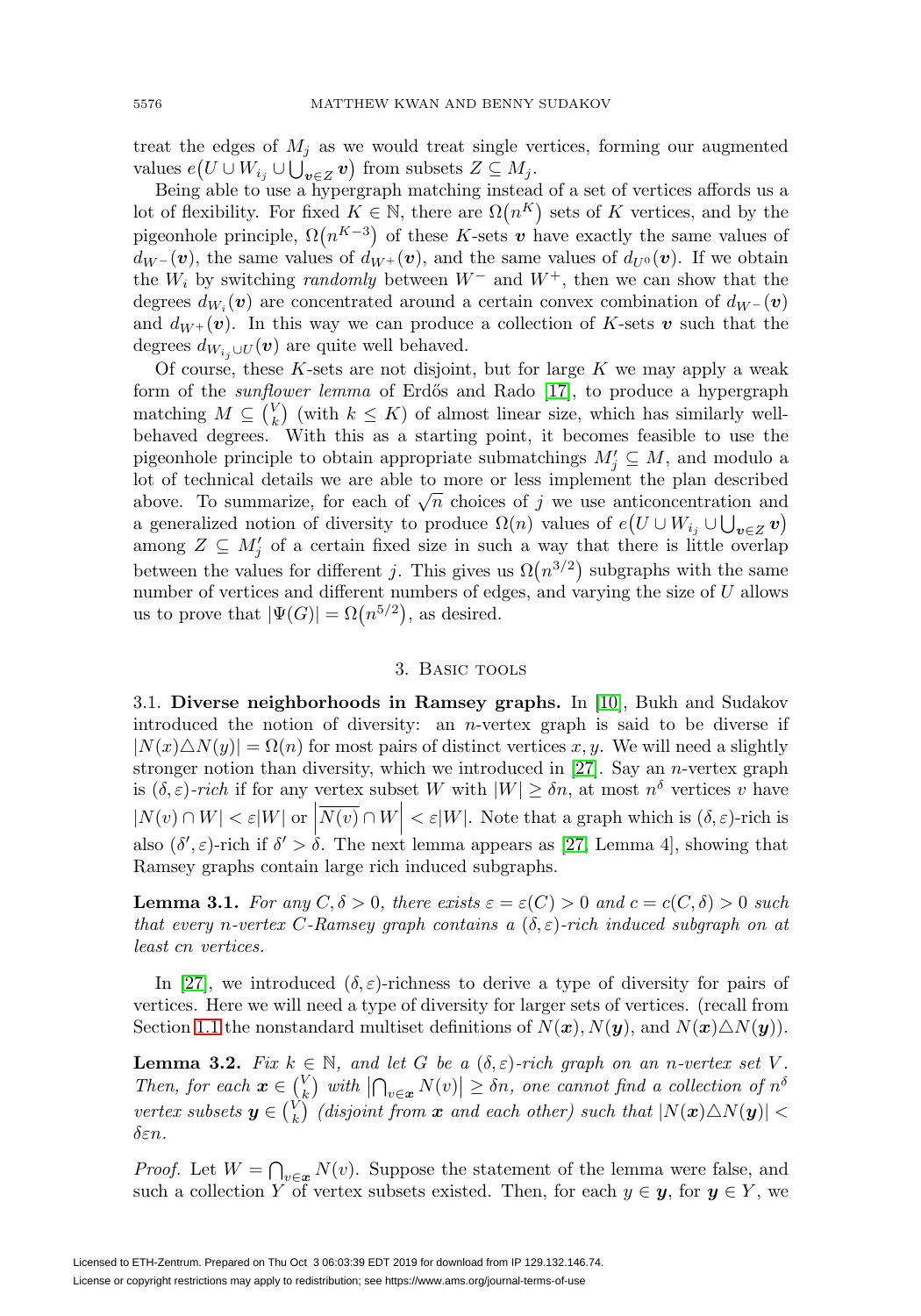treat the edges of  $M_i$  as we would treat single vertices, forming our augmented values  $e(U \cup W_{i_j} \cup \bigcup_{\boldsymbol{v} \in Z} \boldsymbol{v})$  from subsets  $Z \subseteq M_j$ .

Being able to use a hypergraph matching instead of a set of vertices affords us a lot of flexibility. For fixed  $K \in \mathbb{N}$ , there are  $\Omega(n^K)$  sets of K vertices, and by the pigeonhole principle,  $\Omega(n^{K-3})$  of these K-sets *v* have exactly the same values of  $d_{W}$  – (*v*), the same values of  $d_{W^+}(v)$ , and the same values of  $d_{U^0}(v)$ . If we obtain the  $W_i$  by switching *randomly* between  $W^-$  and  $W^+$ , then we can show that the degrees  $d_{W_i}(\boldsymbol{v})$  are concentrated around a certain convex combination of  $d_{W_i}(\boldsymbol{v})$ and  $d_{W^+}(v)$ . In this way we can produce a collection of K-sets  $v$  such that the degrees  $d_{W_{i}} \cup U(\boldsymbol{v})$  are quite well behaved.

Of course, these  $K$ -sets are not disjoint, but for large  $K$  we may apply a weak form of the *sunflower lemma* of Erdős and Rado [\[17\]](#page-22-14), to produce a hypergraph matching  $M \subseteq {V \choose k}$  (with  $k \leq K$ ) of almost linear size, which has similarly wellbehaved degrees. With this as a starting point, it becomes feasible to use the pigeonhole principle to obtain appropriate submatchings  $M'_j \subseteq M$ , and modulo a lot of technical details we are able to more or less implement the plan described above. To summarize, for each of  $\sqrt{n}$  choices of j we use anticoncentration and a generalized notion of diversity to produce  $\Omega(n)$  values of  $e(U \cup W_{i_j} \cup \bigcup_{\mathbf{v} \in Z} \mathbf{v})$ among  $Z \subseteq M'_j$  of a certain fixed size in such a way that there is little overlap between the values for different j. This gives us  $\Omega(n^{3/2})$  subgraphs with the same number of vertices and different numbers of edges, and varying the size of  $U$  allows us to prove that  $|\Psi(G)| = \Omega(n^{5/2})$ , as desired.

## 3. Basic tools

<span id="page-5-0"></span>3.1. **Diverse neighborhoods in Ramsey graphs.** In [\[10\]](#page-22-9), Bukh and Sudakov introduced the notion of diversity: an *n*-vertex graph is said to be diverse if  $|N(x)\triangle N(y)| = \Omega(n)$  for most pairs of distinct vertices x, y. We will need a slightly stronger notion than diversity, which we introduced in  $[27]$ . Say an *n*-vertex graph is  $(\delta, \varepsilon)$ -rich if for any vertex subset W with  $|W| \geq \delta n$ , at most  $n^{\delta}$  vertices v have  $|N(v) \cap W| < \varepsilon |W|$  or  $|\overline{N(v)} \cap W| < \varepsilon |W|$ . Note that a graph which is  $(\delta, \varepsilon)$ -rich is also  $(\delta', \varepsilon)$ -rich if  $\delta' > \delta$ . The next lemma appears as [\[27,](#page-23-4) Lemma 4], showing that Ramsey graphs contain large rich induced subgraphs.

<span id="page-5-2"></span>**Lemma 3.1.** For any  $C, \delta > 0$ , there exists  $\varepsilon = \varepsilon(C) > 0$  and  $c = c(C, \delta) > 0$  such that every n-vertex C-Ramsey graph contains a  $(\delta, \varepsilon)$ -rich induced subgraph on at least cn vertices.

In [\[27\]](#page-23-4), we introduced  $(\delta, \varepsilon)$ -richness to derive a type of diversity for pairs of vertices. Here we will need a type of diversity for larger sets of vertices. (recall from Section [1.1](#page-1-1) the nonstandard multiset definitions of  $N(\boldsymbol{x}), N(\boldsymbol{y})$ , and  $N(\boldsymbol{x})\Delta N(\boldsymbol{y})$ .

<span id="page-5-1"></span>**Lemma 3.2.** Fix  $k \in \mathbb{N}$ , and let G be a  $(\delta, \varepsilon)$ -rich graph on an n-vertex set V. Then, for each  $\mathbf{x} \in \begin{pmatrix} V \\ k \end{pmatrix}$  with  $\left| \bigcap_{v \in \mathbf{x}} N(v) \right| \geq \delta n$ , one cannot find a collection of  $n^{\delta}$  $vertex \ subsets \ \boldsymbol{y} \in {V \choose k} \ (disjoint \ from \ \boldsymbol{x} \ \ and \ each \ other) \ such \ that \ |N(\boldsymbol{x}) \triangle N(\boldsymbol{y})| <$  $\delta \varepsilon n$ .

*Proof.* Let  $W = \bigcap_{v \in \mathbf{x}} N(v)$ . Suppose the statement of the lemma were false, and such a collection Y of vertex subsets existed. Then, for each  $y \in y$ , for  $y \in Y$ , we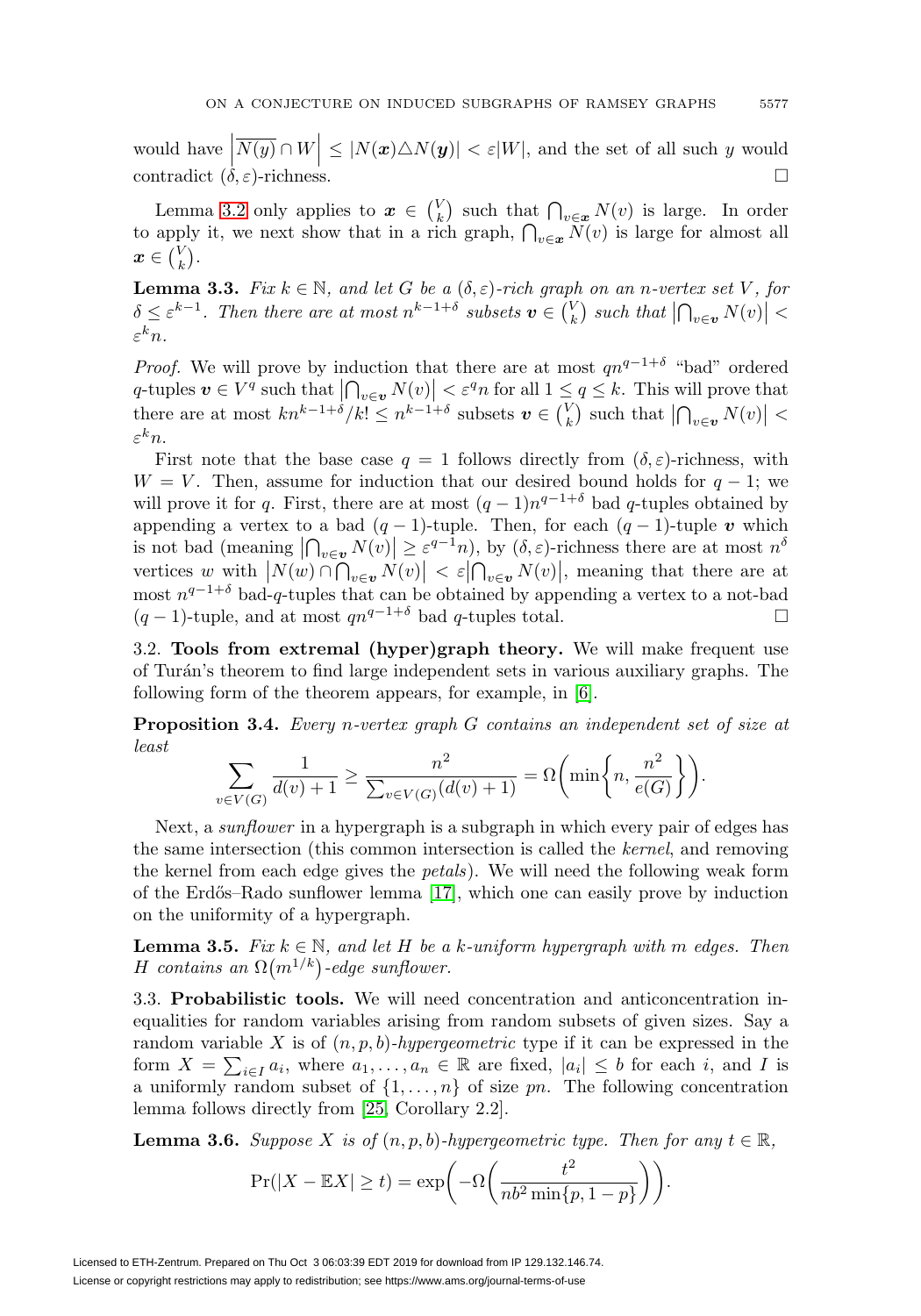would have  $\left|\overline{N(y)} \cap W\right| \leq |N(x) \triangle N(y)| < \varepsilon |W|$ , and the set of all such y would contradict  $(\delta, \varepsilon)$ -richness.  $\Box$ 

Lemma [3.2](#page-5-1) only applies to  $x \in {V \choose k}$  such that  $\bigcap_{v \in x} N(v)$  is large. In order to apply it, we next show that in a rich graph,  $\bigcap_{v \in \mathbf{x}} N(v)$  is large for almost all  $\boldsymbol{x} \in \binom{V}{k}.$ 

<span id="page-6-3"></span>**Lemma 3.3.** Fix  $k \in \mathbb{N}$ , and let G be a  $(\delta, \varepsilon)$ -rich graph on an n-vertex set V, for  $\delta \leq \varepsilon^{k-1}$ . Then there are at most  $n^{k-1+\delta}$  subsets  $v \in {V \choose k}$  such that  $\left| \bigcap_{v \in \mathbf{v}} N(v) \right|$  <  $\varepsilon^k n$ .

*Proof.* We will prove by induction that there are at most  $qn^{q-1+\delta}$  "bad" ordered q-tuples  $v \in V^q$  such that  $\left| \bigcap_{v \in v} N(v) \right| < \varepsilon^q n$  for all  $1 \leq q \leq k$ . This will prove that there are at most  $kn^{k-1+\delta}/k! \leq n^{k-1+\delta}$  subsets  $v \in {V \choose k}$  such that  $\left| \bigcap_{v \in \mathbf{v}} N(v) \right|$  $\varepsilon^k n$ .

First note that the base case  $q = 1$  follows directly from  $(\delta, \varepsilon)$ -richness, with  $W = V$ . Then, assume for induction that our desired bound holds for  $q - 1$ ; we will prove it for q. First, there are at most  $(q-1)n^{q-1+\delta}$  bad q-tuples obtained by appending a vertex to a bad  $(q - 1)$ -tuple. Then, for each  $(q - 1)$ -tuple *v* which is not bad (meaning  $\left| \bigcap_{v \in \mathbf{v}} N(v) \right| \geq \varepsilon^{q-1} n$ ), by  $(\delta, \varepsilon)$ -richness there are at most  $n^{\delta}$ s not bad (meaning  $|I|_{v \in v} N(v)| \le \varepsilon$  n, by  $(v, \varepsilon)$ -richness there are at most n<br>vertices w with  $|N(w) \cap \bigcap_{v \in v} N(v)| < \varepsilon |\bigcap_{v \in v} N(v)|$ , meaning that there are at<br>most  $n^{q-1+\delta}$  bad-q-tuples that can be obtained by ap  $(q-1)$ -tuple, and at most  $qn^{q-1+\delta}$  bad q-tuples total.

3.2. **Tools from extremal (hyper)graph theory.** We will make frequent use of Tur´an's theorem to find large independent sets in various auxiliary graphs. The following form of the theorem appears, for example, in [\[6\]](#page-22-15).

<span id="page-6-4"></span>**Proposition 3.4.** Every n-vertex graph G contains an independent set of size at least

$$
\sum_{v \in V(G)} \frac{1}{d(v)+1} \ge \frac{n^2}{\sum_{v \in V(G)} (d(v)+1)} = \Omega\left(\min\left\{n, \frac{n^2}{e(G)}\right\}\right).
$$

Next, a *sunflower* in a hypergraph is a subgraph in which every pair of edges has the same intersection (this common intersection is called the kernel, and removing the kernel from each edge gives the petals). We will need the following weak form of the Erdős–Rado sunflower lemma  $[17]$ , which one can easily prove by induction on the uniformity of a hypergraph.

<span id="page-6-1"></span>**Lemma 3.5.** Fix  $k \in \mathbb{N}$ , and let H be a k-uniform hypergraph with m edges. Then H contains an  $\Omega(m^{1/k})$ -edge sunflower.

<span id="page-6-2"></span>3.3. **Probabilistic tools.** We will need concentration and anticoncentration inequalities for random variables arising from random subsets of given sizes. Say a random variable X is of  $(n, p, b)$ -hypergeometric type if it can be expressed in the form  $X = \sum_{i \in I} a_i$ , where  $a_1, \ldots, a_n \in \mathbb{R}$  are fixed,  $|a_i| \leq b$  for each i, and I is a uniformly random subset of  $\{1,\ldots,n\}$  of size pn. The following concentration lemma follows directly from [\[25,](#page-23-6) Corollary 2.2].

<span id="page-6-0"></span>**Lemma 3.6.** Suppose X is of  $(n, p, b)$ -hypergeometric type. Then for any  $t \in \mathbb{R}$ ,

$$
\Pr(|X - \mathbb{E}X| \ge t) = \exp\left(-\Omega\left(\frac{t^2}{nb^2 \min\{p, 1 - p\}}\right)\right).
$$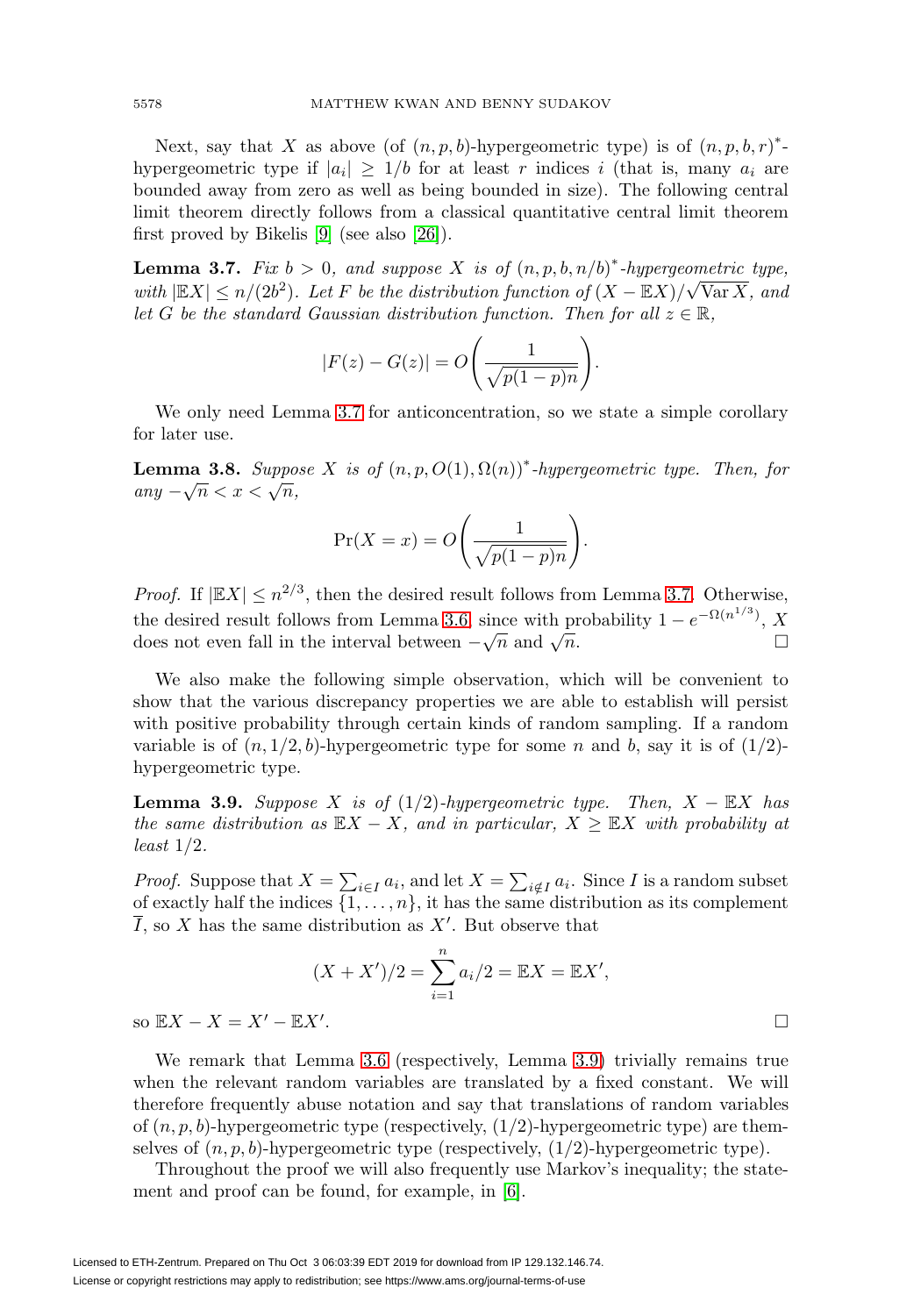Next, say that X as above (of  $(n, p, b)$ -hypergeometric type) is of  $(n, p, b, r)^*$ hypergeometric type if  $|a_i| \geq 1/b$  for at least r indices i (that is, many  $a_i$  are bounded away from zero as well as being bounded in size). The following central limit theorem directly follows from a classical quantitative central limit theorem first proved by Bikelis [\[9\]](#page-22-16) (see also [\[26\]](#page-23-7)).

<span id="page-7-0"></span>**Lemma 3.7.** Fix  $b > 0$ , and suppose X is of  $(n, p, b, n/b)^*$ -hypergeometric type, with  $|\mathbb{E}X| \le n/(2b^2)$ . Let F be the distribution function of  $(X - \mathbb{E}X)/\sqrt{\text{Var }X}$ , and let G be the standard Gaussian distribution function. Then for all  $z \in \mathbb{R}$ ,

$$
|F(z) - G(z)| = O\bigg(\frac{1}{\sqrt{p(1-p)n}}\bigg).
$$

We only need Lemma [3.7](#page-7-0) for anticoncentration, so we state a simple corollary for later use.

<span id="page-7-2"></span>**Lemma 3.8.** Suppose X is of  $(n, p, O(1), \Omega(n))^*$ -hypergeometric type. Then, for any  $-\sqrt{n} < x < \sqrt{n}$ ,

$$
\Pr(X = x) = O\left(\frac{1}{\sqrt{p(1-p)n}}\right).
$$

*Proof.* If  $|EX| \leq n^{2/3}$ , then the desired result follows from Lemma [3.7.](#page-7-0) Otherwise, the desired result follows from Lemma [3.6,](#page-6-0) since with probability  $1 - e^{-\Omega(n^{1/3})}$ , X does not even fall in the interval between  $-\sqrt{n}$  and  $\sqrt{n}$ .  $\Box$ 

We also make the following simple observation, which will be convenient to show that the various discrepancy properties we are able to establish will persist with positive probability through certain kinds of random sampling. If a random variable is of  $(n, 1/2, b)$ -hypergeometric type for some n and b, say it is of  $(1/2)$ hypergeometric type.

<span id="page-7-1"></span>**Lemma 3.9.** Suppose X is of  $(1/2)$ -hypergeometric type. Then,  $X - \mathbb{E}X$  has the same distribution as  $\mathbb{E}X - X$ , and in particular,  $X \geq \mathbb{E}X$  with probability at least 1/2.

*Proof.* Suppose that  $X = \sum_{i \in I} a_i$ , and let  $X = \sum_{i \notin I} a_i$ . Since I is a random subset of exactly half the indices  $\{1,\ldots,n\}$ , it has the same distribution as its complement  $\overline{I}$ , so X has the same distribution as X'. But observe that

$$
(X + X')/2 = \sum_{i=1}^{n} a_i/2 = \mathbb{E}X = \mathbb{E}X',
$$
  
*X'*.

so  $\mathbb{E}X - X = X' - \mathbb{E}X'$ 

We remark that Lemma [3.6](#page-6-0) (respectively, Lemma [3.9\)](#page-7-1) trivially remains true when the relevant random variables are translated by a fixed constant. We will therefore frequently abuse notation and say that translations of random variables of  $(n, p, b)$ -hypergeometric type (respectively,  $(1/2)$ -hypergeometric type) are themselves of  $(n, p, b)$ -hypergeometric type (respectively,  $(1/2)$ -hypergeometric type).

Throughout the proof we will also frequently use Markov's inequality; the statement and proof can be found, for example, in [\[6\]](#page-22-15).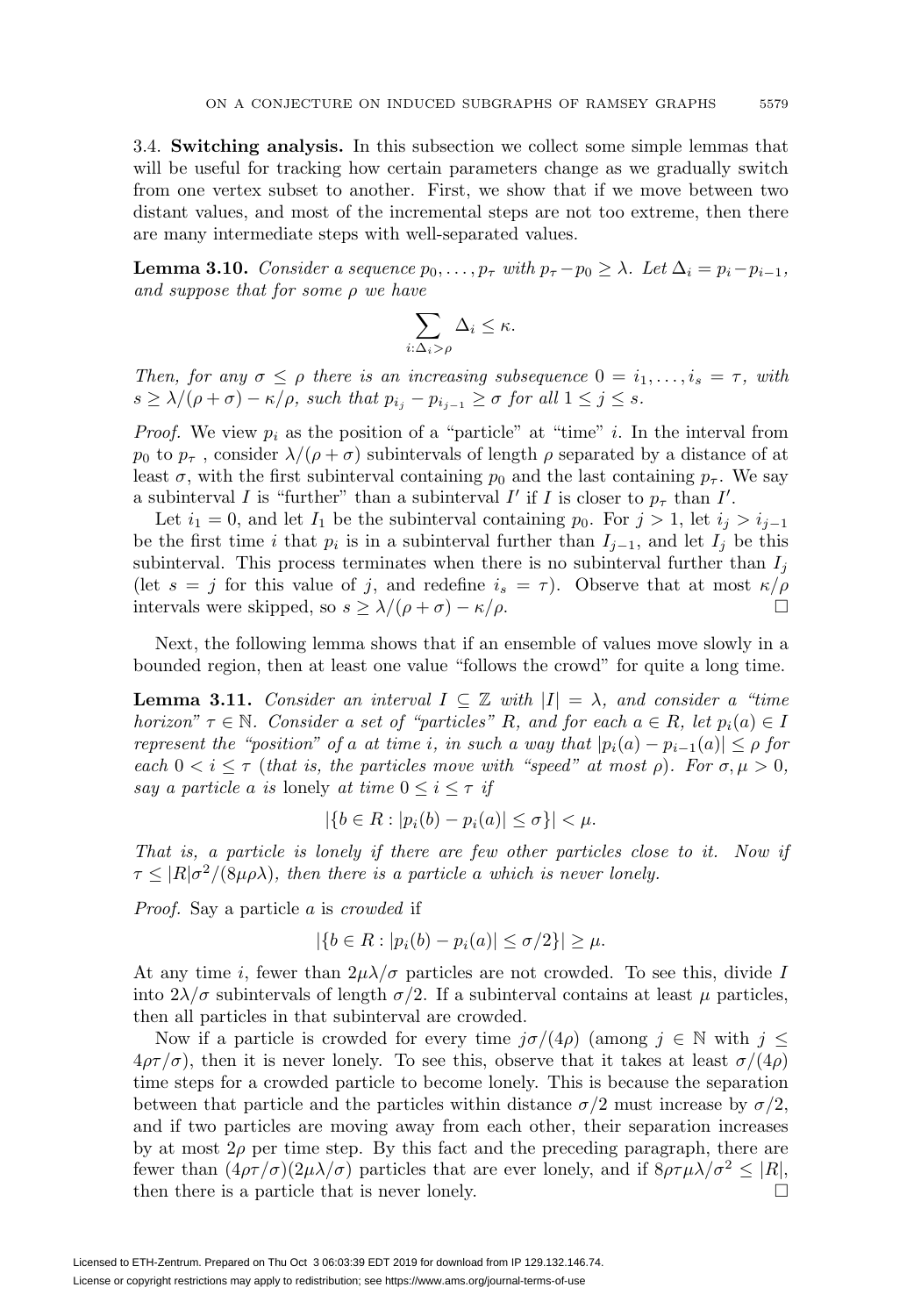3.4. **Switching analysis.** In this subsection we collect some simple lemmas that will be useful for tracking how certain parameters change as we gradually switch from one vertex subset to another. First, we show that if we move between two distant values, and most of the incremental steps are not too extreme, then there are many intermediate steps with well-separated values.

<span id="page-8-1"></span>**Lemma 3.10.** Consider a sequence  $p_0, \ldots, p_\tau$  with  $p_\tau - p_0 \geq \lambda$ . Let  $\Delta_i = p_i - p_{i-1}$ , and suppose that for some  $\rho$  we have

$$
\sum_{i:\Delta_i > \rho} \Delta_i \leq \kappa.
$$

Then, for any  $\sigma \leq \rho$  there is an increasing subsequence  $0 = i_1, \ldots, i_s = \tau$ , with  $s \geq \lambda/(\rho + \sigma) - \kappa/\rho$ , such that  $p_{i_j} - p_{i_{j-1}} \geq \sigma$  for all  $1 \leq j \leq s$ .

*Proof.* We view  $p_i$  as the position of a "particle" at "time" i. In the interval from  $p_0$  to  $p_{\tau}$ , consider  $\lambda/(\rho+\sigma)$  subintervals of length  $\rho$  separated by a distance of at least  $\sigma$ , with the first subinterval containing  $p_0$  and the last containing  $p_{\tau}$ . We say a subinterval I is "further" than a subinterval I' if I is closer to  $p_{\tau}$  than I'.

Let  $i_1 = 0$ , and let  $I_1$  be the subinterval containing  $p_0$ . For  $j > 1$ , let  $i_j > i_{j-1}$ be the first time i that  $p_i$  is in a subinterval further than  $I_{j-1}$ , and let  $I_j$  be this subinterval. This process terminates when there is no subinterval further than  $I_i$ (let  $s = j$  for this value of j, and redefine  $i_s = \tau$ ). Observe that at most  $\kappa/\rho$ intervals were skipped, so  $s \geq \lambda/(\rho + \sigma) - \kappa/\rho$ .

Next, the following lemma shows that if an ensemble of values move slowly in a bounded region, then at least one value "follows the crowd" for quite a long time.

<span id="page-8-0"></span>**Lemma 3.11.** Consider an interval  $I \subseteq \mathbb{Z}$  with  $|I| = \lambda$ , and consider a "time" horizon"  $\tau \in \mathbb{N}$ . Consider a set of "particles" R, and for each  $a \in R$ , let  $p_i(a) \in I$ represent the "position" of a at time i, in such a way that  $|p_i(a) - p_{i-1}(a)| \leq \rho$  for each  $0 < i \leq \tau$  (that is, the particles move with "speed" at most  $\rho$ ). For  $\sigma, \mu > 0$ , say a particle a is lonely at time  $0 \leq i \leq \tau$  if

$$
|\{b \in R : |p_i(b) - p_i(a)| \le \sigma\}| < \mu.
$$

That is, a particle is lonely if there are few other particles close to it. Now if  $\tau \leq |R|\sigma^2/(8\mu\rho\lambda)$ , then there is a particle a which is never lonely.

Proof. Say a particle a is crowded if

$$
|\{b \in R : |p_i(b) - p_i(a)| \le \sigma/2\}| \ge \mu.
$$

At any time i, fewer than  $2\mu\lambda/\sigma$  particles are not crowded. To see this, divide I into  $2\lambda/\sigma$  subintervals of length  $\sigma/2$ . If a subinterval contains at least  $\mu$  particles, then all particles in that subinterval are crowded.

Now if a particle is crowded for every time  $j\sigma/(4\rho)$  (among  $j \in \mathbb{N}$  with  $j \leq$  $4\rho\tau/\sigma$ , then it is never lonely. To see this, observe that it takes at least  $\sigma/(4\rho)$ time steps for a crowded particle to become lonely. This is because the separation between that particle and the particles within distance  $\sigma/2$  must increase by  $\sigma/2$ , and if two particles are moving away from each other, their separation increases by at most  $2\rho$  per time step. By this fact and the preceding paragraph, there are fewer than  $(4\rho\tau/\sigma)(2\mu\lambda/\sigma)$  particles that are ever lonely, and if  $8\rho\tau\mu\lambda/\sigma^2 \leq |R|$ , then there is a particle that is never lonely.  $\Box$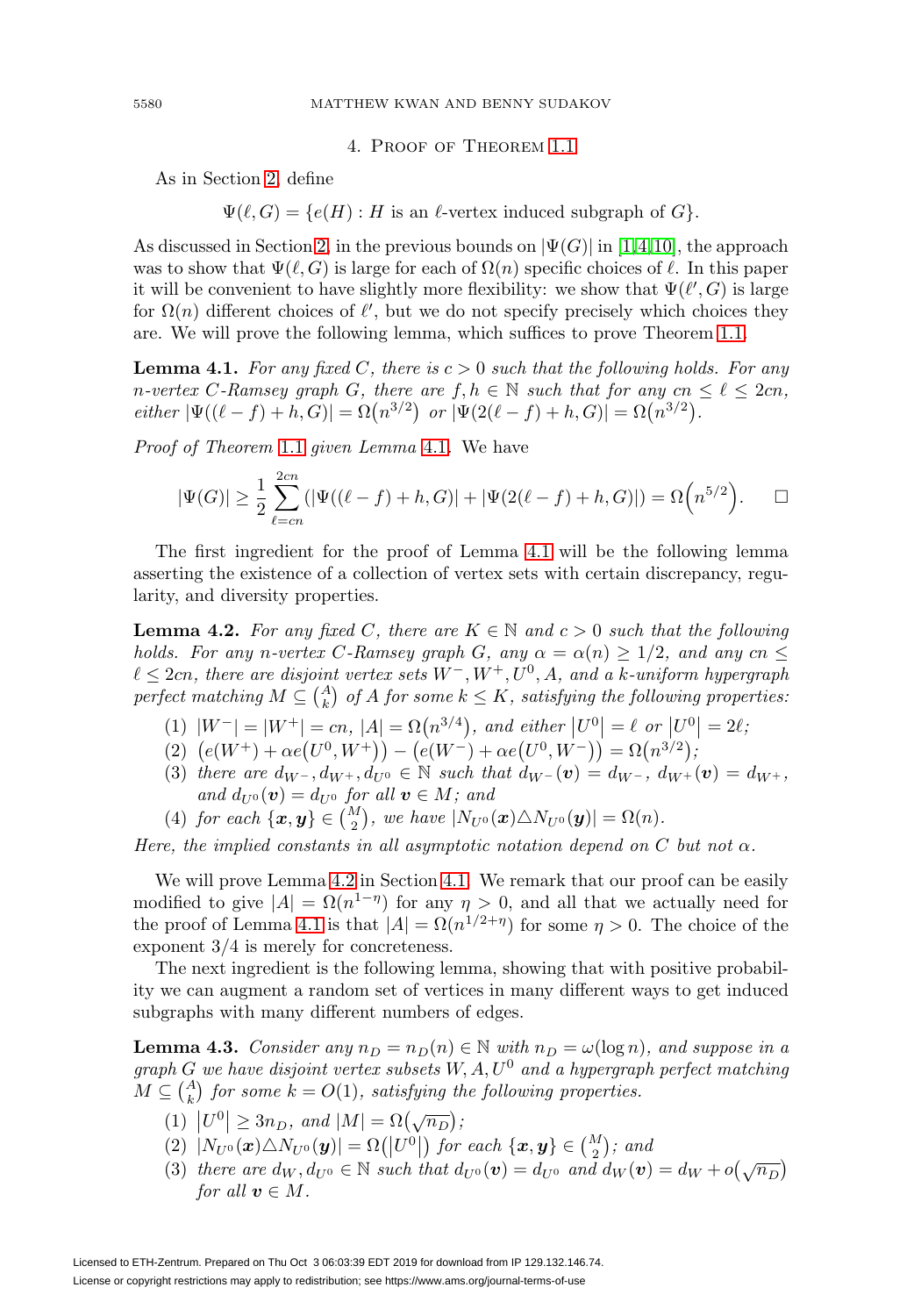4. Proof of Theorem [1.1](#page-1-0)

As in Section [2,](#page-2-0) define

 $\Psi(\ell, G) = \{e(H) : H \text{ is an } \ell\text{-vertex induced subgraph of } G\}.$ 

As discussed in Section [2,](#page-2-0) in the previous bounds on  $|\Psi(G)|$  in [\[1,](#page-22-13)[4,](#page-22-12)[10\]](#page-22-9), the approach was to show that  $\Psi(\ell, G)$  is large for each of  $\Omega(n)$  specific choices of  $\ell$ . In this paper it will be convenient to have slightly more flexibility: we show that  $\Psi(\ell', G)$  is large for  $\Omega(n)$  different choices of  $\ell'$ , but we do not specify precisely which choices they are. We will prove the following lemma, which suffices to prove Theorem [1.1.](#page-1-0)

<span id="page-9-1"></span>**Lemma 4.1.** For any fixed C, there is  $c > 0$  such that the following holds. For any n-vertex C-Ramsey graph G, there are  $f, h \in \mathbb{N}$  such that for any  $cn \leq \ell \leq 2cn$ ,  $either \, |\Psi((\ell - f) + h, G)| = \Omega(n^{3/2}) \, or \, |\Psi(2(\ell - f) + h, G)| = \Omega(n^{3/2}).$ 

Proof of Theorem [1.1](#page-1-0) given Lemma [4.1](#page-9-1). We have

$$
|\Psi(G)| \geq \frac{1}{2} \sum_{\ell=cn}^{2cn} (|\Psi((\ell - f) + h, G)| + |\Psi(2(\ell - f) + h, G)|) = \Omega\left(n^{5/2}\right). \quad \Box
$$

The first ingredient for the proof of Lemma [4.1](#page-9-1) will be the following lemma asserting the existence of a collection of vertex sets with certain discrepancy, regularity, and diversity properties.

<span id="page-9-2"></span>**Lemma 4.2.** For any fixed C, there are  $K \in \mathbb{N}$  and  $c > 0$  such that the following holds. For any n-vertex C-Ramsey graph G, any  $\alpha = \alpha(n) > 1/2$ , and any cn  $\leq$  $\ell \leq 2cn$ , there are disjoint vertex sets  $W^-, W^+, U^0, A$ , and a k-uniform hypergraph perfect matching  $M\subseteq \binom{A}{k}$  of  $A$  for some  $k\leq K,$  satisfying the following properties:

- (1)  $|W^-| = |W^+| = cn$ ,  $|A| = \Omega(n^{3/4})$ , and either  $|U^0| = \ell$  or  $|U^0| = 2\ell$ ;
- (2)  $(e(W^+) + \alpha e(U^0, W^+) (e(W^-) + \alpha e(U^0, W^-)) = \Omega(n^{3/2});$
- (3) there are  $d_{W^-}$ ,  $d_{W^+}$ ,  $d_{U^0} \in \mathbb{N}$  such that  $d_{W^-}(\mathbf{v}) = d_{W^-}$ ,  $d_{W^+}(\mathbf{v}) = d_{W^+}$ , and  $d_{U^0}(v) = d_{U^0}$  for all  $v \in M$ ; and
- (4) for each  $\{\boldsymbol{x}, \boldsymbol{y}\} \in \binom{M}{2}$ , we have  $|N_{U^0}(\boldsymbol{x}) \triangle N_{U^0}(\boldsymbol{y})| = \Omega(n)$ .

Here, the implied constants in all asymptotic notation depend on C but not  $\alpha$ .

We will prove Lemma [4.2](#page-9-2) in Section [4.1.](#page-14-0) We remark that our proof can be easily modified to give  $|A| = \Omega(n^{1-\eta})$  for any  $\eta > 0$ , and all that we actually need for the proof of Lemma [4.1](#page-9-1) is that  $|A| = \Omega(n^{1/2+\eta})$  for some  $\eta > 0$ . The choice of the exponent 3/4 is merely for concreteness.

The next ingredient is the following lemma, showing that with positive probability we can augment a random set of vertices in many different ways to get induced subgraphs with many different numbers of edges.

<span id="page-9-3"></span>**Lemma 4.3.** Consider any  $n_D = n_D(n) \in \mathbb{N}$  with  $n_D = \omega(\log n)$ , and suppose in a graph G we have disjoint vertex subsets  $W, A, U^0$  and a hypergraph perfect matching  $M \subseteq \binom{A}{k}$  for some  $k = O(1)$ , satisfying the following properties.

- (1)  $|U^0| \ge 3n_D$ , and  $|M| = \Omega(\sqrt{n_D});$
- $(2)$   $|N_{U^0}(\boldsymbol{x}) \triangle N_{U^0}(\boldsymbol{y})| = \Omega(|U^0|)$  for each  $\{\boldsymbol{x}, \boldsymbol{y}\} \in \binom{M}{2}$ ; and
- (3) there are  $d_W, d_{U^0} \in \mathbb{N}$  such that  $d_{U^0}(v) = d_{U^0}$  and  $d_W(v) = d_W + o(\sqrt{n_D})$ for all  $v \in M$ .

<span id="page-9-0"></span>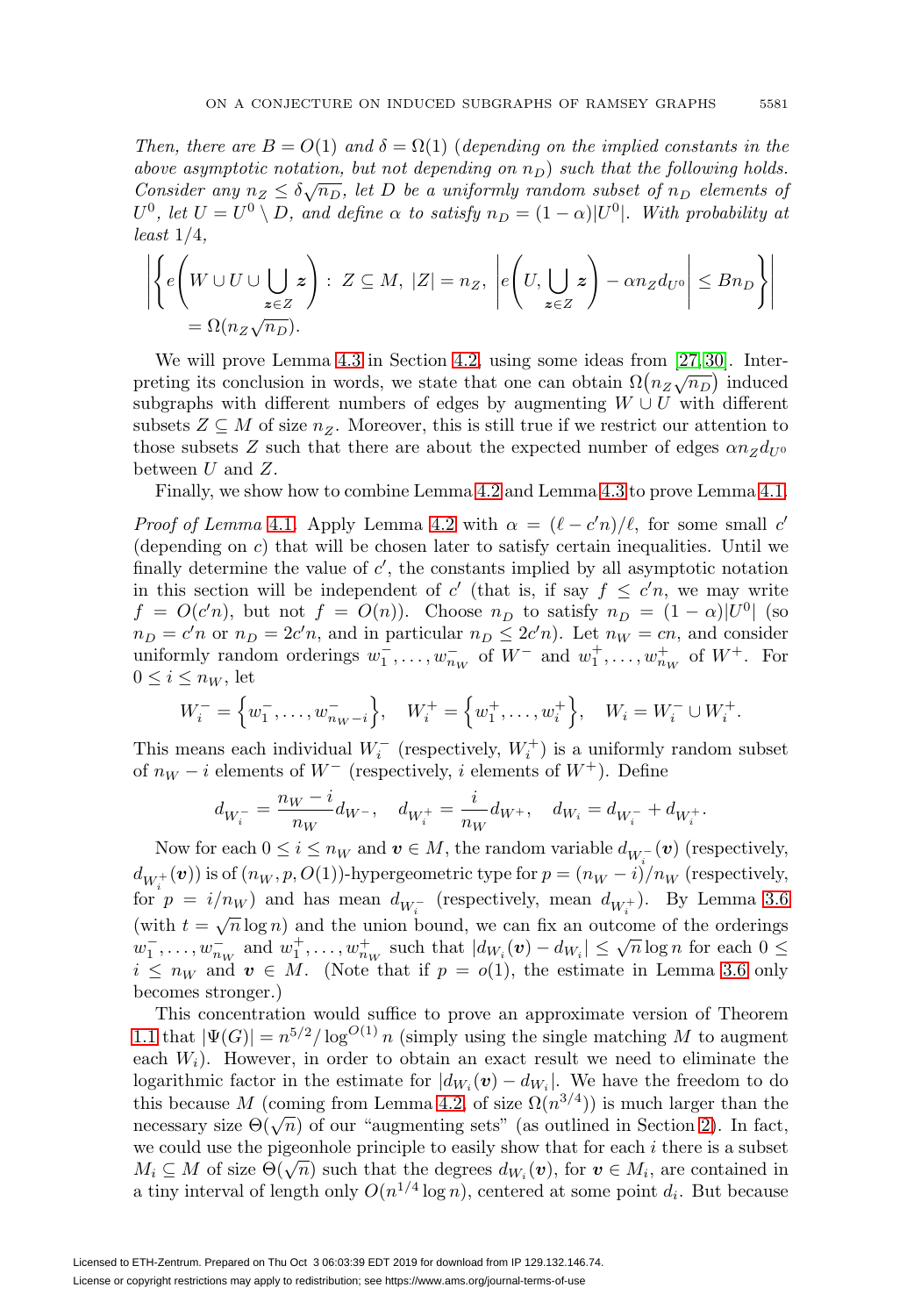Then, there are  $B = O(1)$  and  $\delta = \Omega(1)$  (depending on the implied constants in the above asymptotic notation, but not depending on  $n_D$ ) such that the following holds. Consider any  $n_Z \leq \delta \sqrt{n_D}$ , let D be a uniformly random subset of  $n_D$  elements of  $U^0$ , let  $U = U^0 \setminus D$ , and define  $\alpha$  to satisfy  $n_D = (1 - \alpha)|U^0|$ . With probability at  $least\ 1/4$ ,

$$
\left| \left\{ e \left( W \cup U \cup \bigcup_{\substack{z \in Z \\ z \in Z}} z \right) : Z \subseteq M, |Z| = n_Z, \left| e \left( U, \bigcup_{\substack{z \in Z \\ z \in Z}} z \right) - \alpha n_Z d_{U^0} \right| \leq B n_D \right\} \right|
$$

We will prove Lemma [4.3](#page-9-3) in Section [4.2,](#page-17-0) using some ideas from [\[27,](#page-23-4) [30\]](#page-23-3). Interwe win prove Eemina 4.5 in Section 4.2, using some ractas from [21, 50]. Induced<br>preting its conclusion in words, we state that one can obtain  $\Omega(n_Z\sqrt{n_D})$  induced subgraphs with different numbers of edges by augmenting  $W \cup U$  with different subsets  $Z \subseteq M$  of size  $n_Z$ . Moreover, this is still true if we restrict our attention to those subsets Z such that there are about the expected number of edges  $\alpha n_Z d_{U^0}$ between  $U$  and  $Z$ .

Finally, we show how to combine Lemma [4.2](#page-9-2) and Lemma [4.3](#page-9-3) to prove Lemma [4.1.](#page-9-1)

*Proof of Lemma [4.1](#page-9-1).* Apply Lemma [4.2](#page-9-2) with  $\alpha = (\ell - c'n)/\ell$ , for some small c' (depending on  $c$ ) that will be chosen later to satisfy certain inequalities. Until we finally determine the value of  $c'$ , the constants implied by all asymptotic notation in this section will be independent of c' (that is, if say  $f \leq c'n$ , we may write  $f = O(c'n)$ , but not  $f = O(n)$ ). Choose  $n_D$  to satisfy  $n_D = (1 - \alpha)|U^0|$  (so  $n_D = c'n$  or  $n_D = 2c'n$ , and in particular  $n_D \leq 2c'n$ ). Let  $n_W = cn$ , and consider uniformly random orderings  $w_1^-, \ldots, w_{n_W}^-$  of  $W^-$  and  $w_1^+, \ldots, w_{n_W}^+$  of  $W^+$ . For  $0 \leq i \leq n_W$ , let

$$
W_i^- = \left\{ w_1^-, \ldots, w_{n_W - i}^- \right\}, \quad W_i^+ = \left\{ w_1^+, \ldots, w_i^+ \right\}, \quad W_i = W_i^- \cup W_i^+.
$$

This means each individual  $W_i^-$  (respectively,  $W_i^+$ ) is a uniformly random subset of  $n_W - i$  elements of  $W^-$  (respectively, i elements of  $W^+$ ). Define

$$
d_{W^-_i}=\frac{n_W-i}{n_W}d_{W^-},\quad d_{W^+_i}=\frac{i}{n_W}d_{W^+},\quad d_{W_i}=d_{W^-_i}+d_{W^+_i}.
$$

Now for each  $0 \leq i \leq n_W$  and  $\boldsymbol{v} \in M$ , the random variable  $d_{W_i^-}(\boldsymbol{v})$  (respectively,  $d_{W_i^+}(\boldsymbol{v})$ ) is of  $(n_W, p, O(1))$ -hypergeometric type for  $p = (n_W - i)/n_W$  (respectively, for  $p = i/n_W$ ) and has mean  $d_{W_i^-}$  (respectively, mean  $d_{W_i^+}$ ). By Lemma [3.6](#page-6-0) (with  $t = \sqrt{n} \log n$ ) and the union bound, we can fix an outcome of the orderings (with  $t = \sqrt{n} \log n$ ) and the union bound, we can its an outcome of the orderings  $w_1^-, \ldots, w_{n_W}^+$  and  $w_1^+, \ldots, w_{n_W}^+$  such that  $|d_{W_i}(v) - d_{W_i}| \leq \sqrt{n} \log n$  for each  $0 \leq$  $i \leq n_W$  and  $v \in M$ . (Note that if  $p = o(1)$ , the estimate in Lemma [3.6](#page-6-0) only becomes stronger.)

This concentration would suffice to prove an approximate version of Theorem [1.1](#page-1-0) that  $|\Psi(G)| = n^{5/2} / \log^{O(1)} n$  (simply using the single matching M to augment each  $W_i$ ). However, in order to obtain an exact result we need to eliminate the logarithmic factor in the estimate for  $|d_{W_i}(\boldsymbol{v}) - d_{W_i}|$ . We have the freedom to do this because M (coming from Lemma [4.2,](#page-9-2) of size  $\Omega(n^{3/4})$ ) is much larger than the necessary size  $\Theta(\sqrt{n})$  of our "augmenting sets" (as outlined in Section [2\)](#page-2-0). In fact, we could use the pigeonhole principle to easily show that for each  $i$  there is a subset  $M_i \subseteq M$  of size  $\Theta(\sqrt{n})$  such that the degrees  $d_{W_i}(v)$ , for  $v \in M_i$ , are contained in a tiny interval of length only  $O(n^{1/4} \log n)$ , centered at some point  $d_i$ . But because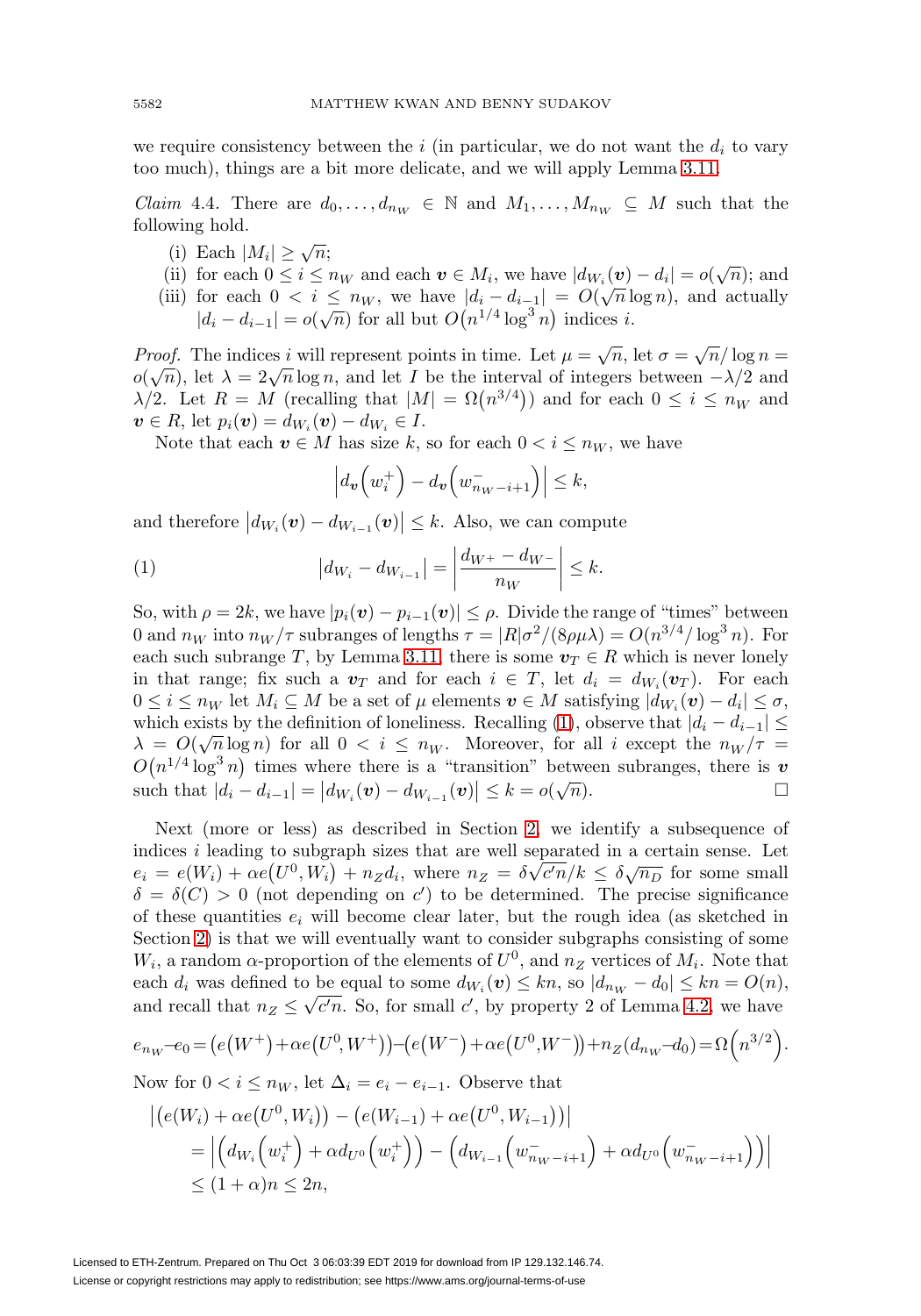we require consistency between the  $i$  (in particular, we do not want the  $d_i$  to vary too much), things are a bit more delicate, and we will apply Lemma [3.11.](#page-8-0)

<span id="page-11-1"></span>*Claim* 4.4. There are  $d_0, \ldots, d_{n_W} \in \mathbb{N}$  and  $M_1, \ldots, M_{n_W} \subseteq M$  such that the following hold.

- (i) Each  $|M_i| \geq \sqrt{n}$ ;
- (i) Each  $|M_i| \leq \sqrt{n}$ ,<br>(ii) for each  $0 \leq i \leq n_W$  and each  $v \in M_i$ , we have  $|d_{W_i}(v) d_i| = o(\sqrt{n})$ ; and
- (ii) for each  $0 \le i \le n_W$  and each  $v \in M_i$ , we have  $|u_{i-}(\tilde{v}) u_i| = o(\sqrt{n})$ , and  $|u_{i-}(\tilde{v}) u_i| \le o(\sqrt{n})$  and  $|v_{i-}(\tilde{v}) u_{i-}(\tilde{v})| \le o(\sqrt{n})$ for each  $0 < l \leq h_W$ , we have  $|a_i - a_{i-1}| = O(\sqrt{h} h)$ <br>  $|d_i - d_{i-1}| = o(\sqrt{n})$  for all but  $O(n^{1/4} \log^3 n)$  indices i.

*Proof.* The indices i will represent points in time. Let  $\mu = \sqrt{n}$ , let  $\sigma = \sqrt{n}/\log n =$ o( $\sqrt{n}$ ), let  $\lambda = 2\sqrt{n} \log n$ , and let I be the interval of integers between  $-\lambda/2$  and  $\lambda/2$ . Let  $R = M$  (recalling that  $|M| = \Omega(n^{3/4})$ ) and for each  $0 \le i \le n_W$  and  $v \in R$ , let  $p_i(v) = d_{W_i}(v) - d_{W_i} \in I$ .

Note that each  $v \in M$  has size k, so for each  $0 < i \leq n_W$ , we have

$$
\left| d_{\boldsymbol{v}}\!\left(w_i^+\right) - d_{\boldsymbol{v}}\!\left(w_{n_W - i + 1}^-\right) \right| \le k,
$$

and therefore  $|d_{W_i}(\boldsymbol{v}) - d_{W_{i-1}}(\boldsymbol{v})| \leq k$ . Also, we can compute

<span id="page-11-0"></span>(1) 
$$
|d_{W_i} - d_{W_{i-1}}| = \left| \frac{d_{W^+} - d_{W^-}}{n_W} \right| \le k.
$$

So, with  $\rho = 2k$ , we have  $|p_i(\mathbf{v}) - p_{i-1}(\mathbf{v})| \leq \rho$ . Divide the range of "times" between 0 and  $n_W$  into  $n_W/\tau$  subranges of lengths  $\tau = |R|\sigma^2/(8\rho\mu\lambda) = O(n^{3/4}/\log^3 n)$ . For each such subrange T, by Lemma [3.11,](#page-8-0) there is some  $v_T \in R$  which is never lonely in that range; fix such a  $v_T$  and for each  $i \in T$ , let  $d_i = d_{W_i}(v_T)$ . For each  $0 \leq i \leq n_W$  let  $M_i \subseteq M$  be a set of  $\mu$  elements  $\boldsymbol{v} \in M$  satisfying  $|d_{W_i}(\boldsymbol{v}) - d_i| \leq \sigma$ , which exists by the definition of loneliness. Recalling [\(1\)](#page-11-0), observe that  $|d_i - d_{i-1}| \leq$ which exists by the definition of fonemiess. Recalling (1), observe that  $|a_i - a_{i-1}| \le \lambda = O(\sqrt{n} \log n)$  for all  $0 < i \le n_W$ . Moreover, for all i except the  $n_W/\tau$  $O(n^{1/4} \log^3 n)$  times where there is a "transition" between subranges, there is *v* such that  $|d_i - d_{i-1}| = |d_{W_i}(v) - d_{W_{i-1}}(v)| \le k = o(\sqrt{n}).$ such that  $|d_i - d_{i-1}| = |d_{W_i}(v) - d_{W_{i-1}}(v)| \leq k = o(k)$ 

Next (more or less) as described in Section [2,](#page-2-0) we identify a subsequence of indices *i* leading to subgraph sizes that are well separated in a certain sense. Let  $e_i = e(W_i) + \alpha e(U^0, W_i) + n_Z d_i$ , where  $n_Z = \delta \sqrt{c'n}/k \leq \delta \sqrt{n_D}$  for some small  $\delta = \delta(C) > 0$  (not depending on c') to be determined. The precise significance of these quantities  $e_i$  will become clear later, but the rough idea (as sketched in Section [2\)](#page-2-0) is that we will eventually want to consider subgraphs consisting of some  $W_i$ , a random  $\alpha$ -proportion of the elements of  $U^0$ , and  $n_Z$  vertices of  $M_i$ . Note that each  $d_i$  was defined to be equal to some  $d_{W_i}(\boldsymbol{v}) \leq kn$ , so  $|d_{nw} - d_0| \leq kn = O(n)$ , each  $u_i$  was defined to be equal to some  $u_{W_i}(v) \leq \kappa n$ , so  $|u_{n_W} - u_0| \leq \kappa n - O(n)$ <br>and recall that  $n_Z \leq \sqrt{c'n}$ . So, for small c', by property 2 of Lemma [4.2,](#page-9-2) we have

$$
e_{n_W} - e_0 = (e(W^+) + \alpha e(U^0, W^+)) - (e(W^-) + \alpha e(U^0, W^-)) + n_Z(d_{n_W} - d_0) = \Omega\left(n^{3/2}\right).
$$

Now for  $0 < i \leq n_W$ , let  $\Delta_i = e_i - e_{i-1}$ . Observe that

$$
\begin{aligned} \left| \left( e(W_i) + \alpha e(U^0, W_i) \right) - \left( e(W_{i-1}) + \alpha e(U^0, W_{i-1}) \right) \right| \\ &= \left| \left( d_{W_i} \left( w_i^+ \right) + \alpha d_{U^0} \left( w_i^+ \right) \right) - \left( d_{W_{i-1}} \left( w_{n_W - i + 1}^- \right) + \alpha d_{U^0} \left( w_{n_W - i + 1}^- \right) \right) \right| \\ &\leq (1 + \alpha)n \leq 2n, \end{aligned}
$$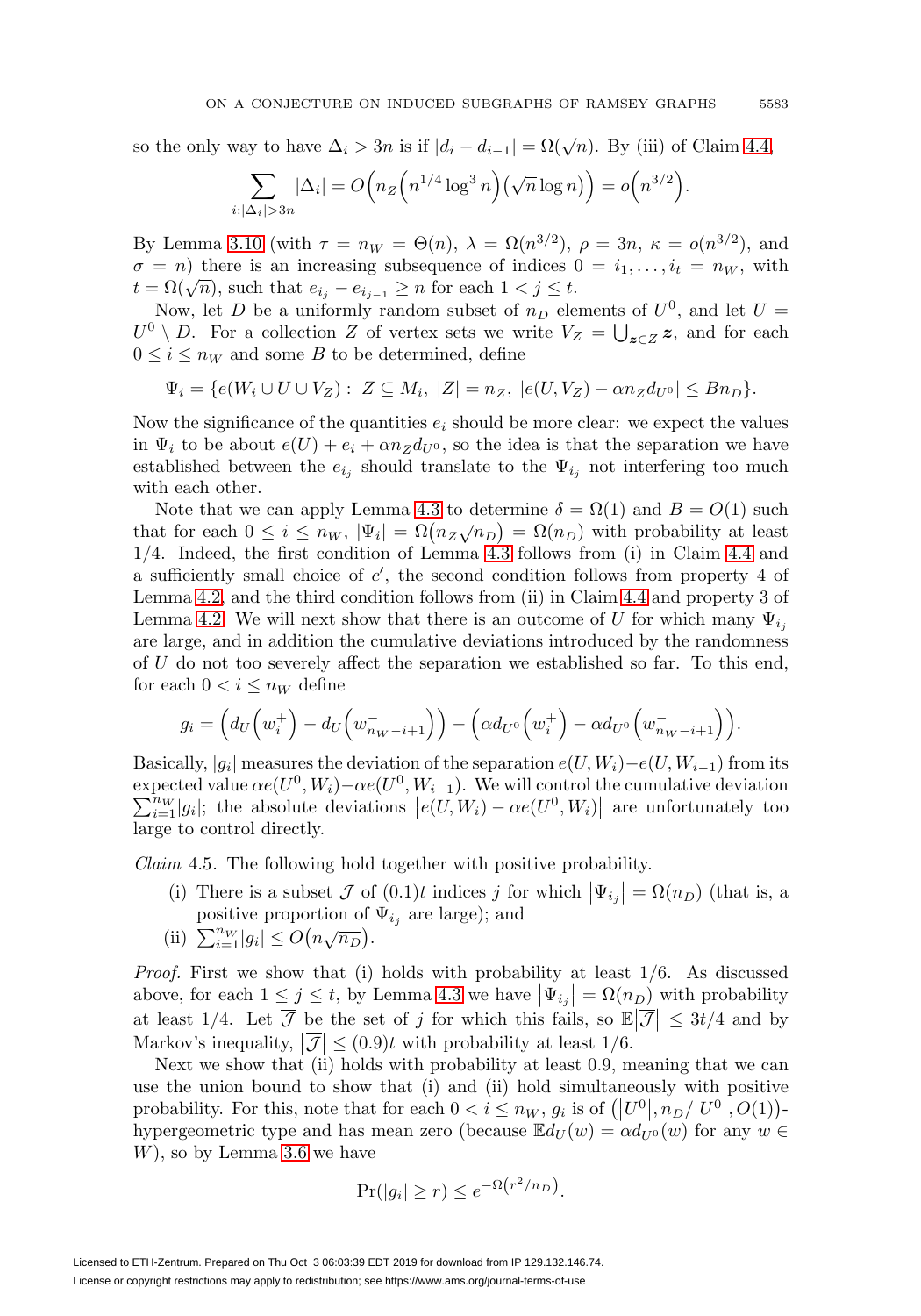so the only way to have  $\Delta_i > 3n$  is if  $|d_i - d_{i-1}| = \Omega(\sqrt{n})$ . By (iii) of Claim [4.4,](#page-11-1)

$$
\sum_{i:|\Delta_i|>3n} |\Delta_i| = O\Big(n_Z\Big(n^{1/4}\log^3 n\Big)\Big(\sqrt{n}\log n\Big)\Big) = o\Big(n^{3/2}\Big).
$$

By Lemma [3.10](#page-8-1) (with  $\tau = n_W = \Theta(n)$ ,  $\lambda = \Omega(n^{3/2})$ ,  $\rho = 3n$ ,  $\kappa = o(n^{3/2})$ , and  $\sigma = n$ ) there is an increasing subsequence of indices  $0 = i_1, \ldots, i_t = n_W$ , with  $t = \Omega(\sqrt{n})$ , such that  $e_{i_j} - e_{i_{j-1}} \geq n$  for each  $1 < j \leq t$ .

Now, let D be a uniformly random subset of  $n_D$  elements of  $U^0$ , and let  $U =$  $U^0 \setminus D$ . For a collection Z of vertex sets we write  $V_Z = \bigcup_{\mathbf{z} \in Z} \mathbf{z}$ , and for each  $0 \leq i \leq n_W$  and some B to be determined, define

$$
\Psi_i = \{ e(W_i \cup U \cup V_Z) : Z \subseteq M_i, |Z| = n_Z, |e(U, V_Z) - \alpha n_Z d_{U^0}| \leq B n_D \}.
$$

Now the significance of the quantities  $e_i$  should be more clear: we expect the values in  $\Psi_i$  to be about  $e(U) + e_i + \alpha n_Z d_{U^0}$ , so the idea is that the separation we have established between the  $e_{i_j}$  should translate to the  $\Psi_{i_j}$  not interfering too much with each other.

Note that we can apply Lemma [4.3](#page-9-3) to determine  $\delta = \Omega(1)$  and  $B = O(1)$  such that for each  $0 \le i \le n_W$ ,  $|\Psi_i| = \Omega(n_Z \sqrt{n_D}) = \Omega(n_D)$  with probability at least 1/4. Indeed, the first condition of Lemma [4.3](#page-9-3) follows from (i) in Claim [4.4](#page-11-1) and a sufficiently small choice of  $c'$ , the second condition follows from property 4 of Lemma [4.2,](#page-9-2) and the third condition follows from (ii) in Claim [4.4](#page-11-1) and property 3 of Lemma [4.2.](#page-9-2) We will next show that there is an outcome of U for which many  $\Psi_{i_j}$ are large, and in addition the cumulative deviations introduced by the randomness of U do not too severely affect the separation we established so far. To this end, for each  $0 < i \leq n_W$  define

$$
g_i = \left(d_U\left(w_i^+\right) - d_U\left(w_{n_W - i + 1}^-\right)\right) - \left(\alpha d_{U^0}\left(w_i^+\right) - \alpha d_{U^0}\left(w_{n_W - i + 1}^-\right)\right).
$$

Basically,  $|g_i|$  measures the deviation of the separation  $e(U, W_i) - e(U, W_{i-1})$  from its expected value  $\alpha e(U^0, W_i) - \alpha e(U^0, W_{i-1})$ . We will control the cumulative deviation  $\sum_{k=1}^{n} W_{k-1}$  and  $W_{k-1} = \alpha e(U^0, W_{i-1}) - \alpha e(U^0, W_{i-1})$  are unfortunately too  $\sum_{i=1}^{n} |g_i|$ ; the absolute deviations  $|e(U, W_i) - \alpha e(U^0, W_i)|$  are unfortunately too large to control directly.

<span id="page-12-0"></span>*Claim* 4.5. The following hold together with positive probability.

- (i) There is a subset  $\mathcal J$  of  $(0.1)t$  indices j for which  $|\Psi_{i_j}| = \Omega(n_D)$  (that is, a positive proportion of  $\Psi_{i_j}$  are large); and
- (ii)  $\sum_{i=1}^{n} |g_i| \leq O(n\sqrt{n_D}).$

*Proof.* First we show that (i) holds with probability at least  $1/6$ . As discussed above, for each  $1 \leq j \leq t$ , by Lemma [4.3](#page-9-3) we have  $|\Psi_{i_j}| = \Omega(n_D)$  with probability at least 1/4. Let  $\overline{\mathcal{J}}$  be the set of j for which this fails, so  $\mathbb{E}|\overline{\mathcal{J}}| \leq 3t/4$  and by Markov's inequality,  $|\overline{\mathcal{J}}| \leq (0.9)t$  with probability at least  $1/6$ .

Next we show that (ii) holds with probability at least 0.9, meaning that we can use the union bound to show that (i) and (ii) hold simultaneously with positive probability. For this, note that for each  $0 < i \leq n_W$ ,  $g_i$  is of  $(|U^0|, n_D/|U^0|, O(1))$ . hypergeometric type and has mean zero (because  $\mathbb{E}d_U(w) = \alpha d_{U^0}(w)$  for any  $w \in$ W), so by Lemma [3.6](#page-6-0) we have

$$
\Pr(|g_i| \ge r) \le e^{-\Omega(r^2/n_D)}.
$$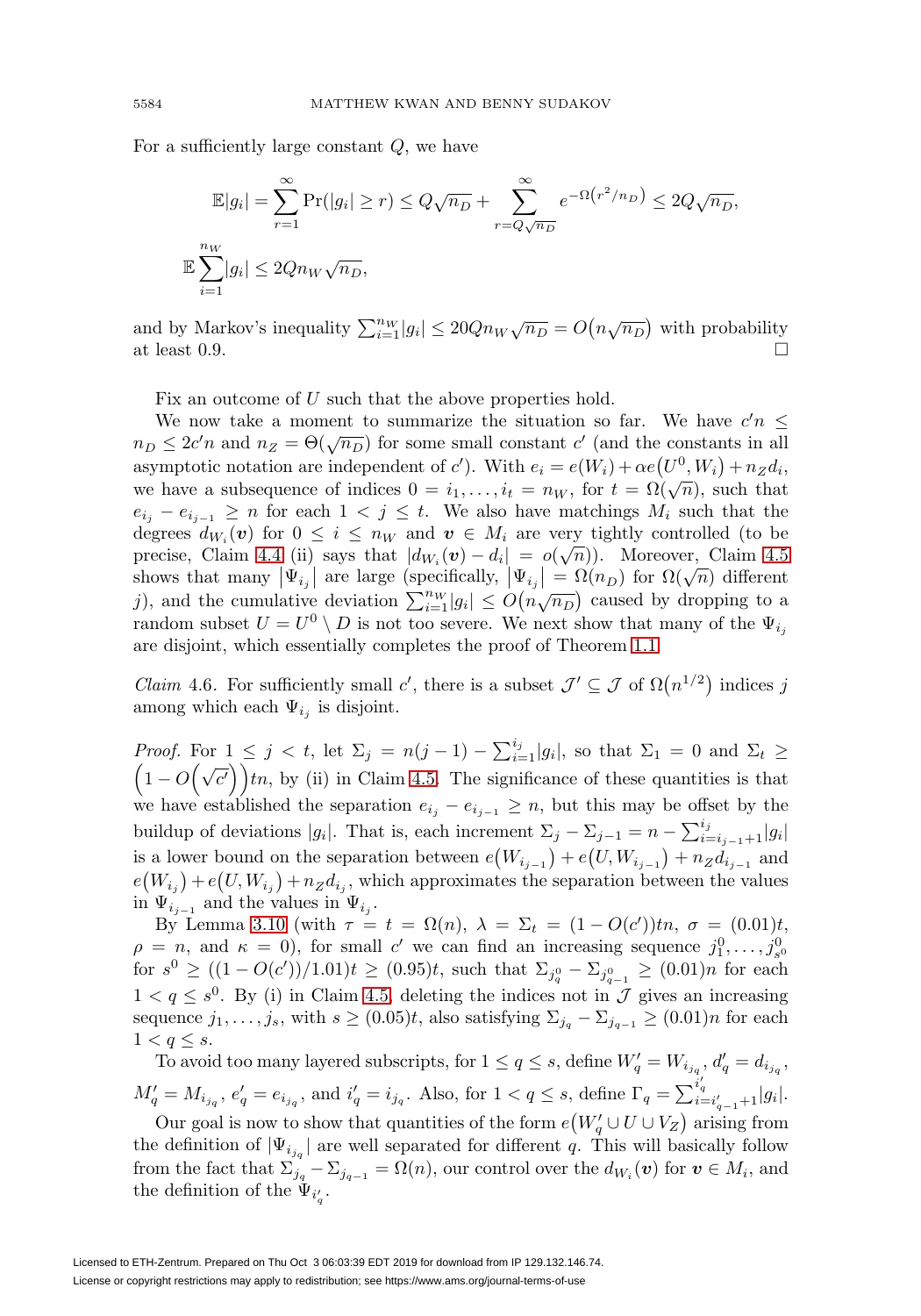For a sufficiently large constant Q, we have

$$
\mathbb{E}|g_i| = \sum_{r=1}^{\infty} \Pr(|g_i| \ge r) \le Q\sqrt{n_D} + \sum_{r=Q\sqrt{n_D}}^{\infty} e^{-\Omega(r^2/n_D)} \le 2Q\sqrt{n_D},
$$
  

$$
\mathbb{E}\sum_{i=1}^{n_W} |g_i| \le 2Qn_W\sqrt{n_D},
$$

and by Markov's inequality  $\sum_{i=1}^{n_W} |g_i| \leq 20Qn_W\sqrt{n_D} = O\left(n\sqrt{n_D}\right)$  with probability at least 0.9.  $\Box$ 

Fix an outcome of U such that the above properties hold.

We now take a moment to summarize the situation so far. We have  $c'n \leq$  $n_D \leq 2c'n$  and  $n_Z = \Theta(\sqrt{n_D})$  for some small constant c' (and the constants in all asymptotic notation are independent of c'). With  $e_i = e(W_i) + \alpha e(U^0, W_i) + n_Z d_i$ , we have a subsequence of indices  $0 = i_1, \ldots, i_t = n_W$ , for  $t = \Omega(\sqrt{n})$ , such that  $e_{i_j} - e_{i_{j-1}} \geq n$  for each  $1 \leq j \leq t$ . We also have matchings  $M_i$  such that the degrees  $d_{W_i}(v)$  for  $0 \leq i \leq n_W$  and  $v \in M_i$  are very tightly controlled (to be precise, Claim [4.4](#page-11-1) (ii) says that  $|d_{W_i}(v) - d_i| = o(\sqrt{n})$ . Moreover, Claim [4.5](#page-12-0) precise, Claim 4.4 (i) says that  $|u_{W_i}(v) - u_i| = o(\sqrt{n})$ . Moreover, Claim 4.5<br>shows that many  $|\Psi_{i_j}|$  are large (specifically,  $|\Psi_{i_j}| = \Omega(n_D)$  for  $\Omega(\sqrt{n})$  different include the cumulative deviation  $\sum_{i=1}^{n} |g_i| \le O(n \sqrt{n_D})$  caused by dropping to a random subset  $U = U^0 \setminus D$  is not too severe. We next show that many of the  $\Psi_{i,j}$ are disjoint, which essentially completes the proof of Theorem [1.1.](#page-1-0)

*Claim* 4.6. For sufficiently small c', there is a subset  $\mathcal{J}' \subseteq \mathcal{J}$  of  $\Omega(n^{1/2})$  indices j among which each  $\Psi_{i_j}$  is disjoint.

*Proof.* For  $1 \leq j < t$ , let  $\Sigma_j = n(j-1) - \sum_{i=1}^{i_j} |g_i|$ , so that  $\Sigma_1 = 0$  and  $\Sigma_t \geq$  $(1 - O(\sqrt{c'})\)$ tn, by (ii) in Claim [4.5.](#page-12-0) The significance of these quantities is that we have established the separation  $e_{i_j} - e_{i_{j-1}} \geq n$ , but this may be offset by the buildup of deviations  $|g_i|$ . That is, each increment  $\Sigma_j - \Sigma_{j-1} = n - \sum_{i=i_{j-1}+1}^{i_j} |g_i|$ is a lower bound on the separation between  $e(W_{i_{j-1}}) + e(U, W_{i_{j-1}}) + n_Z d_{i_{j-1}}$  and  $e(W_{i_j}) + e(U, W_{i_j}) + n_Z d_{i_j}$ , which approximates the separation between the values in  $\Psi_{i_{i-1}}$  and the values in  $\Psi_{i_i}$ .

By Lemma [3.10](#page-8-1) (with  $\tau = t = \Omega(n)$ ,  $\lambda = \Sigma_t = (1 - O(c'))$ tn,  $\sigma = (0.01)t$ ,  $\rho = n$ , and  $\kappa = 0$ ), for small c' we can find an increasing sequence  $j_1^0, \ldots, j_{s^0}^0$ for  $s^0 \ge ((1 - O(c'))/1.01)t \ge (0.95)t$ , such that  $\Sigma_{j_q^0} - \Sigma_{j_{q-1}^0} \ge (0.01)n$  for each  $1 < q \leq s^0$ . By (i) in Claim [4.5,](#page-12-0) deleting the indices not in  $\mathcal J$  gives an increasing sequence  $j_1,\ldots,j_s$ , with  $s \geq (0.05)t$ , also satisfying  $\Sigma_{j_q} - \Sigma_{j_{q-1}} \geq (0.01)n$  for each  $1 < q \leq s$ .

To avoid too many layered subscripts, for  $1 \le q \le s$ , define  $W'_q = W_{i_{j_q}}, d'_q = d_{i_{j_q}},$  $M'_q = M_{i_{j_q}}, e'_q = e_{i_{j_q}}, \text{ and } i'_q = i_{j_q}.$  Also, for  $1 < q \leq s$ , define  $\Gamma_q = \sum_{i=i'_{q-1}+1}^{i'_{q}} |g_i|$ .

Our goal is now to show that quantities of the form  $e(W_q' \cup U \cup V_Z)$  arising from the definition of  $|\Psi_{i_{j_q}}|$  are well separated for different q. This will basically follow from the fact that  $\sum_{j_q}^{\cdot} -\sum_{j_{q-1}}^{\cdot} = \Omega(n)$ , our control over the  $d_{W_i}(v)$  for  $v \in M_i$ , and the definition of the  $\Psi_{i'_q}$ .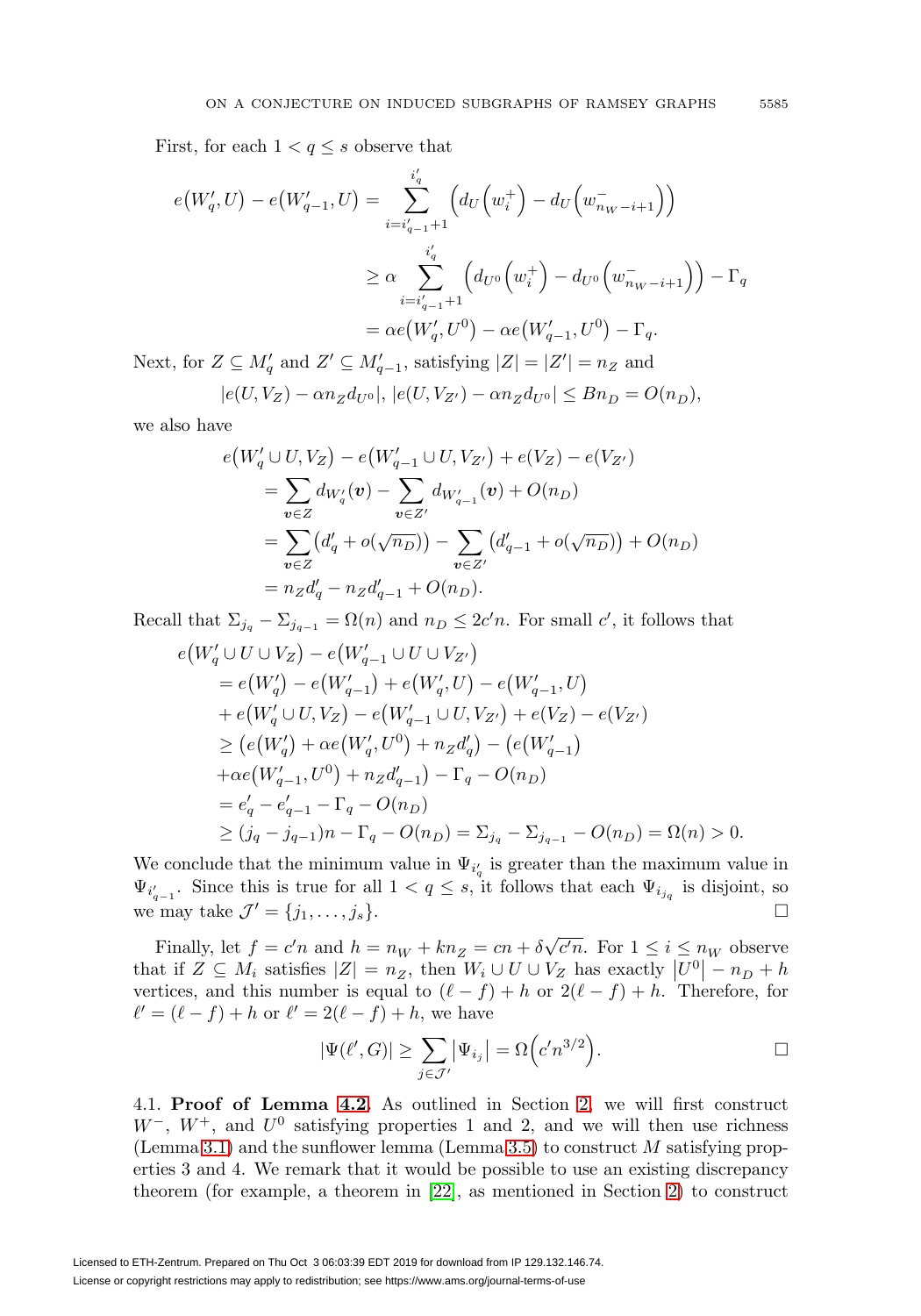First, for each  $1 < q \leq s$  observe that

$$
e(W'_q, U) - e(W'_{q-1}, U) = \sum_{i=i'_{q-1}+1}^{i'_{q}} \left( d_U \left( w_i^+ \right) - d_U \left( w_{n_W - i + 1}^- \right) \right)
$$
  

$$
\geq \alpha \sum_{i=i'_{q-1}+1}^{i'_{q}} \left( d_{U^0} \left( w_i^+ \right) - d_{U^0} \left( w_{n_W - i + 1}^- \right) \right) - \Gamma_q
$$
  

$$
= \alpha e(W'_q, U^0) - \alpha e(W'_{q-1}, U^0) - \Gamma_q.
$$

Next, for  $Z \subseteq M'_q$  and  $Z' \subseteq M'_{q-1}$ , satisfying  $|Z| = |Z'| = n_Z$  and

$$
|e(U, V_Z) - \alpha n_Z d_{U^0}|, |e(U, V_{Z'}) - \alpha n_Z d_{U^0}| \le Bn_D = O(n_D),
$$

we also have

$$
e(W'_q \cup U, V_Z) - e(W'_{q-1} \cup U, V_{Z'}) + e(V_Z) - e(V_{Z'})
$$
  
= 
$$
\sum_{v \in Z} d_{W'_q}(v) - \sum_{v \in Z'} d_{W'_{q-1}}(v) + O(n_D)
$$
  
= 
$$
\sum_{v \in Z} (d'_q + o(\sqrt{n_D})) - \sum_{v \in Z'} (d'_{q-1} + o(\sqrt{n_D})) + O(n_D)
$$
  
= 
$$
n_Z d'_q - n_Z d'_{q-1} + O(n_D).
$$

Recall that  $\Sigma_{j_q} - \Sigma_{j_{q-1}} = \Omega(n)$  and  $n_D \leq 2c'n$ . For small c', it follows that

$$
e(W'_{q} \cup U \cup V_{Z}) - e(W'_{q-1} \cup U \cup V_{Z'})
$$
  
\n
$$
= e(W'_{q}) - e(W'_{q-1}) + e(W'_{q}, U) - e(W'_{q-1}, U)
$$
  
\n
$$
+ e(W'_{q} \cup U, V_{Z}) - e(W'_{q-1} \cup U, V_{Z'}) + e(V_{Z}) - e(V_{Z'})
$$
  
\n
$$
\geq (e(W'_{q}) + \alpha e(W'_{q}, U^{0}) + n_{Z}d'_{q}) - (e(W'_{q-1})
$$
  
\n
$$
+ \alpha e(W'_{q-1}, U^{0}) + n_{Z}d'_{q-1}) - \Gamma_{q} - O(n_{D})
$$
  
\n
$$
= e'_{q} - e'_{q-1} - \Gamma_{q} - O(n_{D})
$$
  
\n
$$
\geq (j_{q} - j_{q-1})n - \Gamma_{q} - O(n_{D}) = \Sigma_{j_{q}} - \Sigma_{j_{q-1}} - O(n_{D}) = \Omega(n) > 0.
$$

We conclude that the minimum value in  $\Psi_{i'_q}$  is greater than the maximum value in  $\Psi_{i_{q-1}}$ . Since this is true for all  $1 < q \leq s$ , it follows that each  $\Psi_{i_{j_q}}$  is disjoint, so we may take  $\mathcal{J}' = \{j_1, \ldots, j_s\}.$ 

Finally, let  $f = c'n$  and  $h = n_W + kn_Z = cn + \delta$  $\sqrt{c'n}$ . For  $1 \leq i \leq n_W$  observe that if  $Z \subseteq M_i$  satisfies  $|Z| = n_Z$ , then  $W_i \cup U \cup V_Z$  has exactly  $|U^0| - n_D + h$ vertices, and this number is equal to  $(\ell - f) + h$  or  $2(\ell - f) + h$ . Therefore, for  $\ell' = (\ell - f) + h$  or  $\ell' = 2(\ell - f) + h$ , we have

$$
|\Psi(\ell', G)| \ge \sum_{j \in \mathcal{J}'} |\Psi_{i_j}| = \Omega \Big( c' n^{3/2} \Big). \square
$$

<span id="page-14-0"></span>4.1. **Proof of Lemma [4.2.](#page-9-2)** As outlined in Section [2,](#page-2-0) we will first construct  $W^-, W^+,$  and  $U^0$  satisfying properties 1 and 2, and we will then use richness (Lemma [3.1\)](#page-5-2) and the sunflower lemma (Lemma [3.5\)](#page-6-1) to construct  $M$  satisfying properties 3 and 4. We remark that it would be possible to use an existing discrepancy theorem (for example, a theorem in [\[22\]](#page-23-5), as mentioned in Section [2\)](#page-2-0) to construct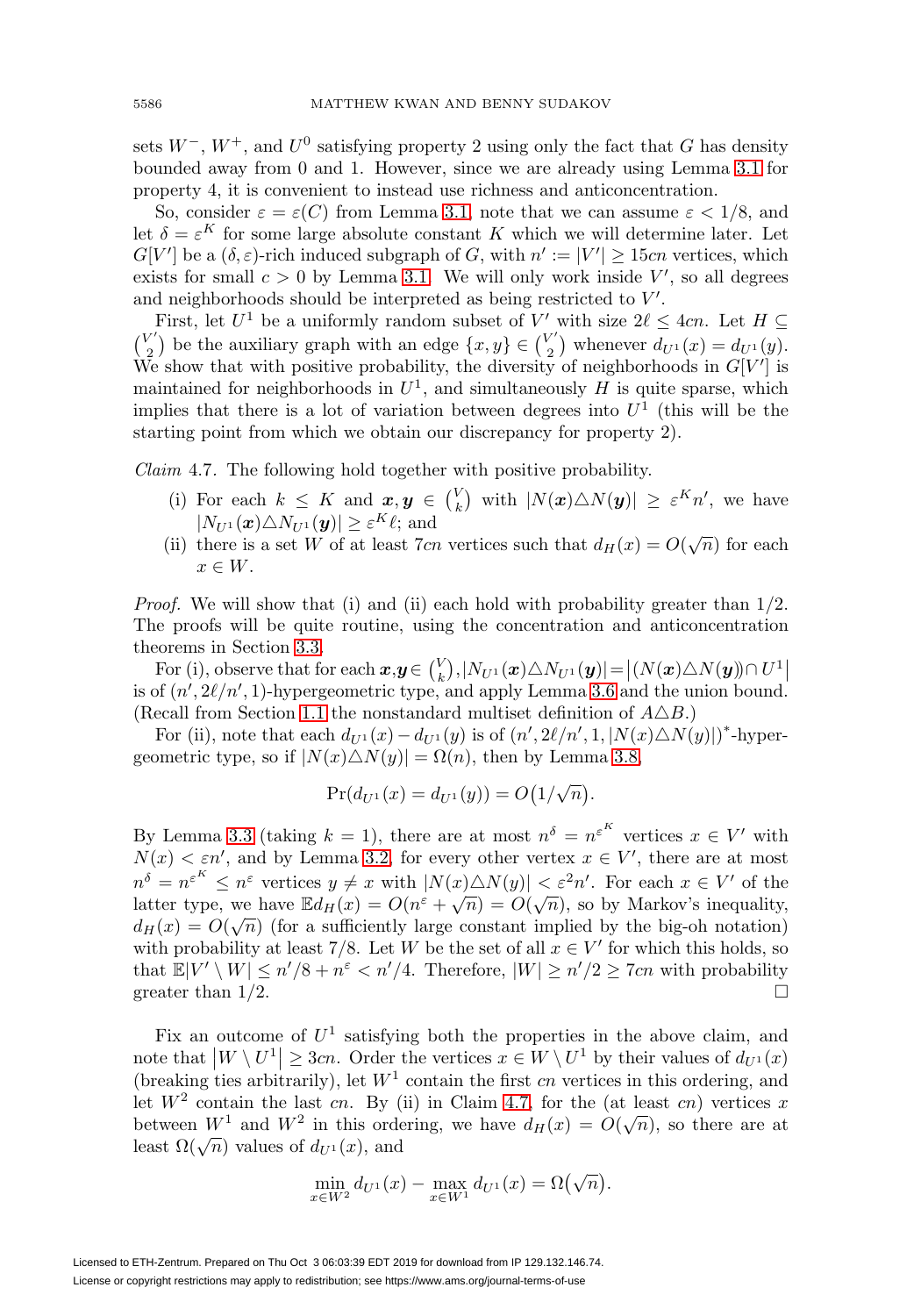sets  $W^-, W^+,$  and  $U^0$  satisfying property 2 using only the fact that G has density bounded away from 0 and 1. However, since we are already using Lemma [3.1](#page-5-2) for property 4, it is convenient to instead use richness and anticoncentration.

So, consider  $\varepsilon = \varepsilon(C)$  from Lemma [3.1,](#page-5-2) note that we can assume  $\varepsilon < 1/8$ , and let  $\delta = \varepsilon^{K}$  for some large absolute constant K which we will determine later. Let  $G[V']$  be a  $(\delta, \varepsilon)$ -rich induced subgraph of G, with  $n' := |V'| \ge 15cn$  vertices, which exists for small  $c > 0$  by Lemma [3.1.](#page-5-2) We will only work inside  $V'$ , so all degrees and neighborhoods should be interpreted as being restricted to  $V'$ .

First, let  $U^1$  be a uniformly random subset of V' with size  $2\ell \leq 4cn$ . Let  $H \subseteq$  $\binom{V'}{2}$  be the auxiliary graph with an edge  $\{x, y\} \in \binom{V'}{2}$  whenever  $d_{U^1}(x) = d_{U^1}(y)$ . We show that with positive probability, the diversity of neighborhoods in  $G[V']$  is maintained for neighborhoods in  $U^1$ , and simultaneously H is quite sparse, which implies that there is a lot of variation between degrees into  $U^1$  (this will be the starting point from which we obtain our discrepancy for property 2).

<span id="page-15-0"></span>Claim 4.7. The following hold together with positive probability.

- (i) For each  $k \leq K$  and  $\boldsymbol{x}, \boldsymbol{y} \in {V \choose k}$  with  $|N(\boldsymbol{x}) \triangle N(\boldsymbol{y})| \geq \varepsilon^{K} n'$ , we have  $|N_{U^{1}}(\boldsymbol{x})\triangle N_{U^{1}}(\boldsymbol{y})|\geq \varepsilon^{K}\ell;$  and
- (ii) there is a set W of at least 7cn vertices such that  $d_H(x) = O(\sqrt{n})$  for each  $x \in W$ .

*Proof.* We will show that (i) and (ii) each hold with probability greater than  $1/2$ . The proofs will be quite routine, using the concentration and anticoncentration theorems in Section [3.3.](#page-6-2)

For (i), observe that for each  $x, y \in {V \choose k}, |N_{U^{1}}(x) \triangle N_{U^{1}}(y)| = |(N(x) \triangle N(y)) \cap U^{1}|$ is of  $(n', 2\ell/n', 1)$ -hypergeometric type, and apply Lemma [3.6](#page-6-0) and the union bound. (Recall from Section [1.1](#page-1-1) the nonstandard multiset definition of  $A\triangle B$ .)

For (ii), note that each  $d_{U^1}(x) - d_{U^1}(y)$  is of  $(n', 2\ell/n', 1, |N(x) \triangle N(y)|)^*$ -hypergeometric type, so if  $|N(x)\triangle N(y)| = \Omega(n)$ , then by Lemma [3.8,](#page-7-2)

$$
Pr(d_{U^{1}}(x) = d_{U^{1}}(y)) = O(1/\sqrt{n}).
$$

By Lemma [3.3](#page-6-3) (taking  $k = 1$ ), there are at most  $n^{\delta} = n^{\varepsilon^{K}}$  vertices  $x \in V'$  with  $N(x) < \varepsilon n'$ , and by Lemma [3.2,](#page-5-1) for every other vertex  $x \in V'$ , there are at most  $n^{\delta} = n^{\varepsilon^{K}} \leq n^{\varepsilon}$  vertices  $y \neq x$  with  $|N(x) \triangle N(y)| < \varepsilon^{2} n'$ . For each  $x \in V'$  of the  $\mu = \mu \leq \mu$  vertices  $y \neq x$  with  $|\mu(x) \triangle N(y)| < \varepsilon$  in . For each  $x \in V$  or the latter type, we have  $\mathbb{E}d_H(x) = O(n^{\varepsilon} + \sqrt{n}) = O(\sqrt{n})$ , so by Markov's inequality, d<sub>H</sub>(x) =  $O(\sqrt{n})$  (for a sufficiently large constant implied by the big-oh notation) with probability at least 7/8. Let W be the set of all  $x \in V'$  for which this holds, so that  $\mathbb{E}[V' \setminus W] \leq n'/8 + n^{\varepsilon} < n'/4$ . Therefore,  $|W| \geq n'/2 \geq 7cn$  with probability greater than  $1/2$ .  $\Box$ 

Fix an outcome of  $U^1$  satisfying both the properties in the above claim, and note that  $|W \setminus U^1| \geq 3cn$ . Order the vertices  $x \in W \setminus U^1$  by their values of  $d_{U^1}(x)$ (breaking ties arbitrarily), let  $W<sup>1</sup>$  contain the first cn vertices in this ordering, and let  $W^2$  contain the last cn. By (ii) in Claim [4.7,](#page-15-0) for the (at least cn) vertices x between  $W^1$  and  $W^2$  in this ordering, we have  $d_H(x) = O(\sqrt{n})$ , so there are at least  $\Omega(\sqrt{n})$  values of  $d_{U^1}(x)$ , and

$$
\min_{x \in W^2} d_{U^1}(x) - \max_{x \in W^1} d_{U^1}(x) = \Omega(\sqrt{n}).
$$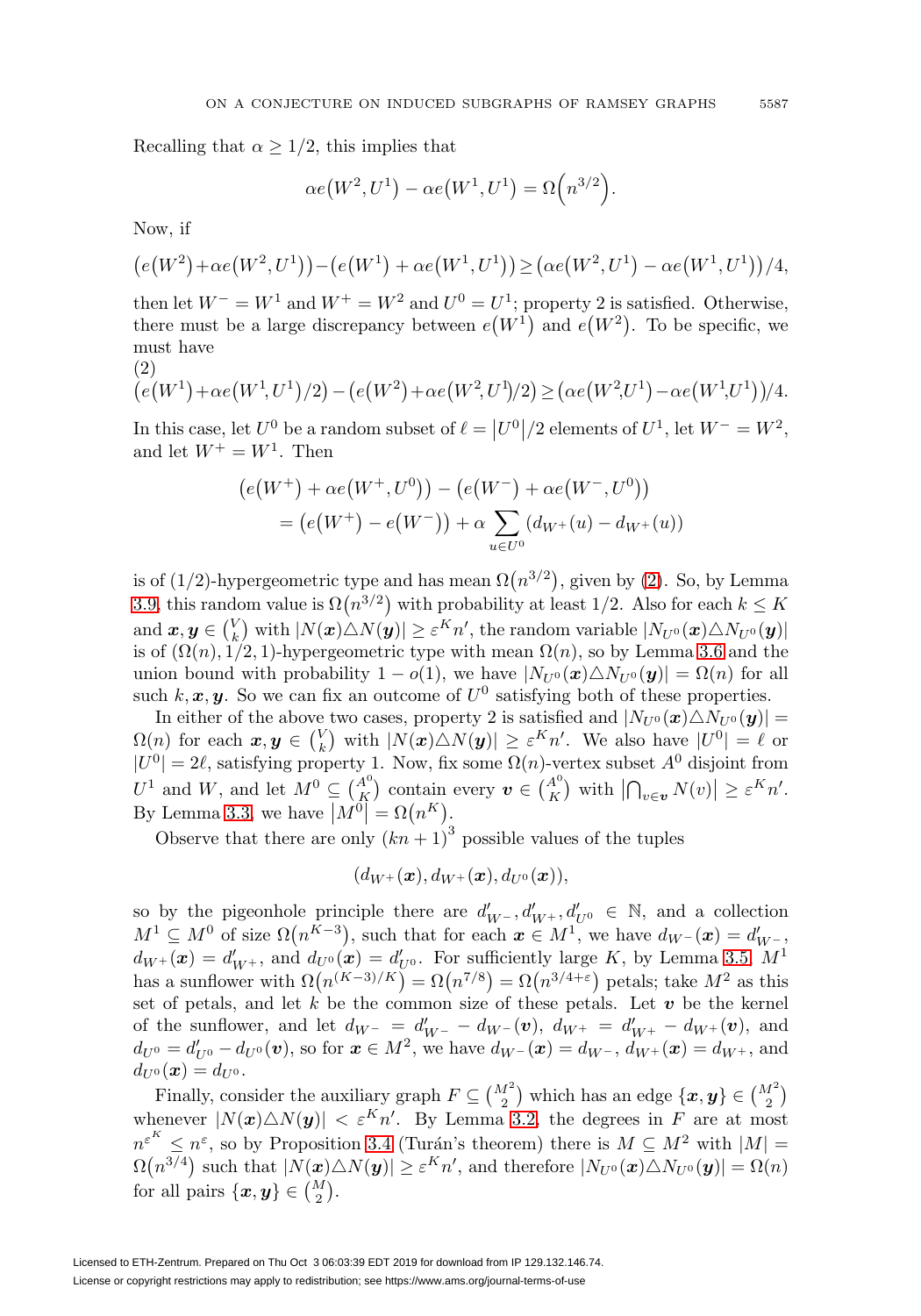Recalling that  $\alpha \geq 1/2$ , this implies that

$$
\alpha e(W^2, U^1) - \alpha e(W^1, U^1) = \Omega\left(n^{3/2}\right).
$$

Now, if

$$
(e(W^{2})+\alpha e(W^{2},U^{1})) - (e(W^{1})+\alpha e(W^{1},U^{1})) \geq ( \alpha e(W^{2},U^{1})-\alpha e(W^{1},U^{1})) /4,
$$

then let  $W^- = W^1$  and  $W^+ = W^2$  and  $U^0 = U^1$ ; property 2 is satisfied. Otherwise, there must be a large discrepancy between  $e(W^1)$  and  $e(W^2)$ . To be specific, we must have  $(2)$ 

<span id="page-16-0"></span>
$$
(e(W^1) + \alpha e(W^1, U^1)/2) - (e(W^2) + \alpha e(W^2, U^1)/2) \geq (\alpha e(W^2, U^1) - \alpha e(W^1, U^1))/4.
$$

In this case, let  $U^0$  be a random subset of  $\ell = |U^0|/2$  elements of  $U^1$ , let  $W^- = W^2$ , and let  $W^+ = W^1$ . Then

$$
(e(W^+) + \alpha e(W^+, U^0)) - (e(W^-) + \alpha e(W^-, U^0))
$$
  
= 
$$
(e(W^+) - e(W^-)) + \alpha \sum_{u \in U^0} (d_{W^+}(u) - d_{W^+}(u))
$$

is of (1/2)-hypergeometric type and has mean  $\Omega(n^{3/2})$ , given by [\(2\)](#page-16-0). So, by Lemma [3.9,](#page-7-1) this random value is  $\Omega(n^{3/2})$  with probability at least 1/2. Also for each  $k \leq K$  $\text{and } \bm{x},\bm{y}\in\binom{V}{k} \text{ with } |N(\bm{x})\triangle N(\bm{y})|\geq \varepsilon^K n', \text{ the random variable } |N_{U^0}(\bm{x})\triangle N_{U^0}(\bm{y})|$ is of  $(\Omega(n), 1/2, 1)$ -hypergeometric type with mean  $\Omega(n)$ , so by Lemma [3.6](#page-6-0) and the union bound with probability  $1 - o(1)$ , we have  $|N_{U^0}(\boldsymbol{x}) \triangle N_{U^0}(\boldsymbol{y})| = \Omega(n)$  for all such  $k, x, y$ . So we can fix an outcome of  $U^0$  satisfying both of these properties.

In either of the above two cases, property 2 is satisfied and  $|N_{U^0}(\boldsymbol{x}) \triangle N_{U^0} (\boldsymbol{y})|$  =  $\Omega(n)$  for each  $x, y \in {V \choose k}$  with  $|N(x) \triangle N(y)| \geq \varepsilon^K n'$ . We also have  $|U^0| = \ell$  or  $|U^0| = 2\ell$ , satisfying property 1. Now, fix some  $\Omega(n)$ -vertex subset  $A^0$  disjoint from  $U^1$  and W, and let  $M^0 \subseteq \binom{A^0}{K}$  contain every  $v \in \binom{A^0}{K}$  with  $\left| \bigcap_{v \in \mathbf{v}} N(v) \right| \geq \varepsilon^K n'.$ By Lemma [3.3,](#page-6-3) we have  $|M^0| = \Omega(n^K)$ .

Observe that there are only  $(kn + 1)^3$  possible values of the tuples

$$
(d_{W^{+}}(\bm{x}),d_{W^{+}}(\bm{x}),d_{U^{0}}(\bm{x})),
$$

so by the pigeonhole principle there are  $d'_{W^-}$ ,  $d'_{W^+}$ ,  $d'_{U^0} \in \mathbb{N}$ , and a collection  $M^1 \subseteq M^0$  of size  $\Omega(n^{K-3})$ , such that for each  $x \in M^1$ , we have  $d_{W^-}(x) = d'_{W^-}$ ,  $d_{W^+}(\mathbf{x}) = d'_{W^+}$ , and  $d_{U^0}(\mathbf{x}) = d'_{U^0}$ . For sufficiently large K, by Lemma [3.5,](#page-6-1)  $M^1$ has a sunflower with  $\Omega(n^{(K-3)/K}) = \Omega(n^{7/8}) = \Omega(n^{3/4+\epsilon})$  petals; take  $M^2$  as this set of petals, and let  $k$  be the common size of these petals. Let  $v$  be the kernel of the sunflower, and let  $d_{W^-} = d'_{W^-} - d_{W^-}(\mathbf{v}), d_{W^+} = d'_{W^+} - d_{W^+}(\mathbf{v}),$  and  $d_{U^{0}} = d'_{U^{0}} - d_{U^{0}}(\boldsymbol{v})$ , so for  $\boldsymbol{x} \in M^{2}$ , we have  $d_{W^{-}}(\boldsymbol{x}) = d_{W^{-}}$ ,  $d_{W^{+}}(\boldsymbol{x}) = d_{W^{+}}$ , and  $d_{U^{0}}(\boldsymbol{x}) = d_{U^{0}}.$ 

Finally, consider the auxiliary graph  $F \subseteq {M^2 \choose 2}$  which has an edge  $\{x, y\} \in {M^2 \choose 2}$ whenever  $|N(x)\triangle N(y)| < \varepsilon^{K}n'$ . By Lemma [3.2,](#page-5-1) the degrees in F are at most  $n^{\varepsilon^K} \leq n^{\varepsilon}$ , so by Proposition [3.4](#page-6-4) (Turán's theorem) there is  $M \subseteq M^2$  with  $|M| =$  $\Omega(n^{3/4})$  such that  $|N(\boldsymbol{x})\triangle N(\boldsymbol{y})|\geq \varepsilon^K n'$ , and therefore  $|N_{U^0}(\boldsymbol{x})\triangle N_{U^0}(\boldsymbol{y})|=\Omega(n)$ for all pairs  $\{\boldsymbol{x}, \boldsymbol{y}\} \in \binom{M}{2}$ .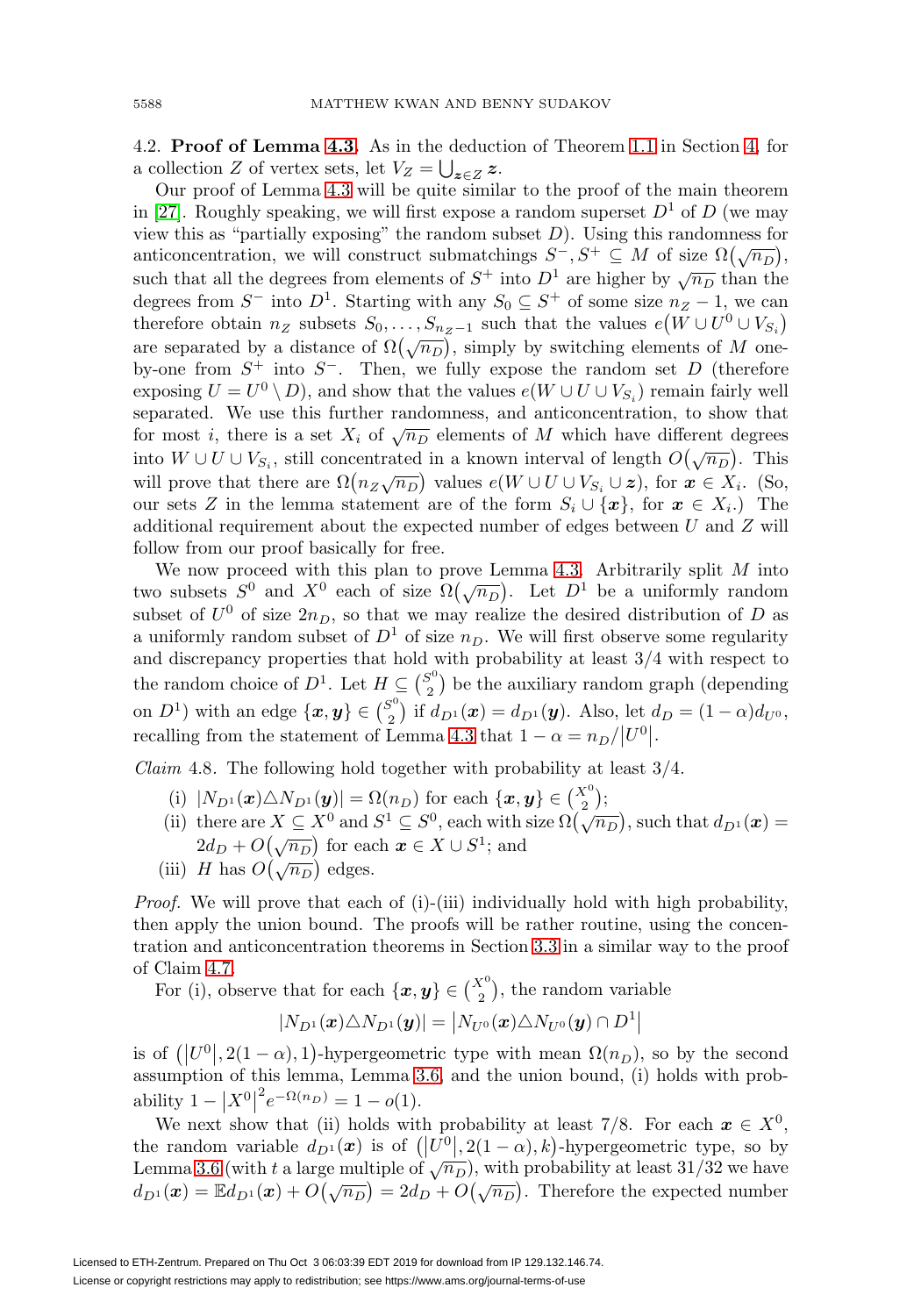<span id="page-17-0"></span>4.2. **Proof of Lemma [4.3.](#page-9-3)** As in the deduction of Theorem [1.1](#page-1-0) in Section [4,](#page-9-0) for a collection Z of vertex sets, let  $V_Z = \bigcup_{\mathbf{z} \in Z} \mathbf{z}$ .

Our proof of Lemma [4.3](#page-9-3) will be quite similar to the proof of the main theorem in [\[27\]](#page-23-4). Roughly speaking, we will first expose a random superset  $D^1$  of D (we may view this as "partially exposing" the random subset  $D$ ). Using this randomness for anticoncentration, we will construct submatchings  $S^-, S^+ \subseteq M$  of size  $\Omega(\sqrt{n_D})$ , such that all the degrees from elements of  $S^+$  into  $D^1$  are higher by  $\sqrt{n_D}$  than the degrees from  $S^-$  into  $D^1$ . Starting with any  $S_0 \subseteq S^+$  of some size  $n_Z - 1$ , we can therefore obtain  $n_Z$  subsets  $S_0, \ldots, S_{n_Z-1}$  such that the values  $e(W \cup U^0 \cup V_{S_i})$ are separated by a distance of  $\Omega(\sqrt{n_D})$ , simply by switching elements of M oneby-one from  $S^+$  into  $S^-$ . Then, we fully expose the random set D (therefore exposing  $U = U^0 \setminus D$ , and show that the values  $e(W \cup U \cup V_{S_i})$  remain fairly well separated. We use this further randomness, and anticoncentration, to show that for most i, there is a set  $X_i$  of  $\sqrt{n_D}$  elements of M which have different degrees into  $W \cup U \cup V_{S_i}$ , still concentrated in a known interval of length  $O(\sqrt{n_D})$ . This will prove that there are  $\Omega(n_Z \sqrt{n_D})$  values  $e(W \cup U \cup V_{S_i} \cup z)$ , for  $x \in X_i$ . (So, our sets Z in the lemma statement are of the form  $S_i \cup \{x\}$ , for  $x \in X_i$ .) The additional requirement about the expected number of edges between U and Z will follow from our proof basically for free.

We now proceed with this plan to prove Lemma [4.3.](#page-9-3) Arbitrarily split  $M$  into two subsets  $S^0$  and  $X^0$  each of size  $\Omega(\sqrt{n_D})$ . Let  $D^1$  be a uniformly random subset of  $U^0$  of size  $2n_D$ , so that we may realize the desired distribution of D as a uniformly random subset of  $D^1$  of size  $n_D$ . We will first observe some regularity and discrepancy properties that hold with probability at least 3/4 with respect to the random choice of  $D^1$ . Let  $H \subseteq {S^0 \choose 2}$  be the auxiliary random graph (depending on  $D^1$ ) with an edge  $\{x, y\} \in {S^0 \choose 2}$  if  $d_{D^1}(x) = d_{D^1}(y)$ . Also, let  $d_D = (1 - \alpha)d_{U^0}$ , recalling from the statement of Lemma [4.3](#page-9-3) that  $1 - \alpha = n_D / |U^0|$ .

<span id="page-17-1"></span>*Claim* 4.8. The following hold together with probability at least  $3/4$ .

- 
- (i)  $|N_{D^1}(\boldsymbol{x}) \triangle N_{D^1}(\boldsymbol{y})| = \Omega(n_D)$  for each  $\{\boldsymbol{x}, \boldsymbol{y}\} \in {X^0 \choose 2};$ <br>(ii) there are  $X \subseteq X^0$  and  $S^1 \subseteq S^0$ , each with size  $\Omega(\sqrt{n_D})$ , such that  $d_{D^1}(\boldsymbol{x}) =$  $2d_D + O(\sqrt{n_D})$  for each  $x \in X \cup S^1$ ; and
- (iii) H has  $O(\sqrt{n_D})$  edges.

Proof. We will prove that each of (i)-(iii) individually hold with high probability, then apply the union bound. The proofs will be rather routine, using the concentration and anticoncentration theorems in Section [3.3](#page-6-2) in a similar way to the proof of Claim [4.7.](#page-15-0)

For (i), observe that for each  $\{\boldsymbol{x}, \boldsymbol{y}\} \in \binom{X^0}{2}$ , the random variable

$$
|N_{D^1}(\boldsymbol{x})\triangle N_{D^1}(\boldsymbol{y})|=|N_{U^0}(\boldsymbol{x})\triangle N_{U^0}(\boldsymbol{y})\cap D^1|
$$

is of  $(|U^0|, 2(1-\alpha), 1)$ -hypergeometric type with mean  $\Omega(n_D)$ , so by the second assumption of this lemma, Lemma [3.6,](#page-6-0) and the union bound, (i) holds with probability  $1 - |X^0|^2 e^{-\Omega(n_D)} = 1 - o(1)$ .

We next show that (ii) holds with probability at least 7/8. For each  $x \in X^0$ , the random variable  $d_{D^1}(x)$  is of  $(|U^0|, 2(1-\alpha), k)$ -hypergeometric type, so by Lemma [3.6](#page-6-0) (with t a large multiple of  $\sqrt{n_D}$ ), with probability at least 31/32 we have  $d_{D^1}(\mathbf{x}) = \mathbb{E} d_{D^1}(\mathbf{x}) + O(\sqrt{n_D}) = 2d_D + O(\sqrt{n_D}).$  Therefore the expected number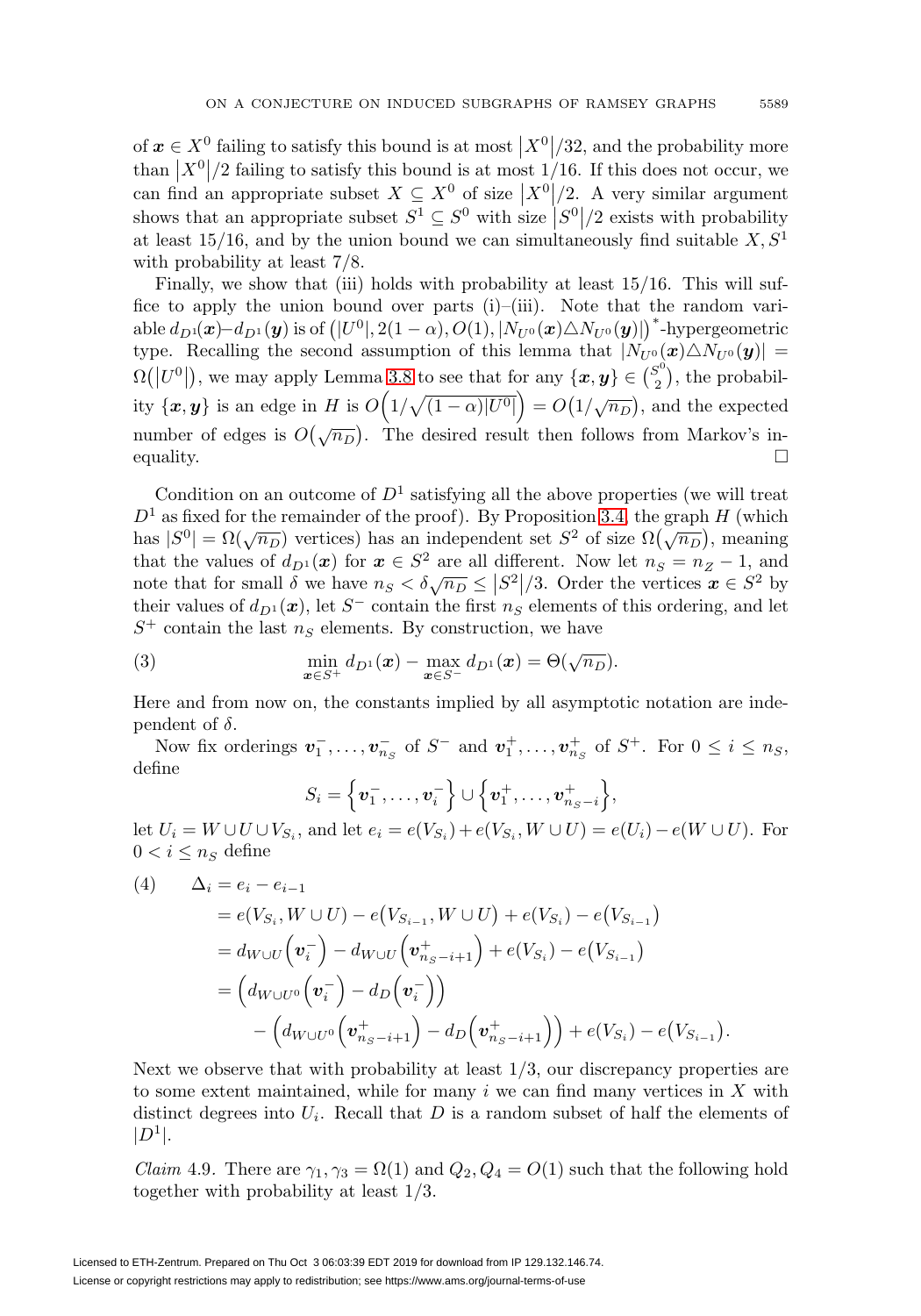of  $x \in X^0$  failing to satisfy this bound is at most  $\left| X^0 \right| / 32$ , and the probability more than  $|X^0|/2$  failing to satisfy this bound is at most 1/16. If this does not occur, we can find an appropriate subset  $X \subseteq X^0$  of size  $|X^0|/2$ . A very similar argument shows that an appropriate subset  $S^1 \subseteq S^0$  with size  $|S^0|/2$  exists with probability at least 15/16, and by the union bound we can simultaneously find suitable  $X, S<sup>1</sup>$ with probability at least 7/8.

Finally, we show that (iii) holds with probability at least  $15/16$ . This will suffice to apply the union bound over parts (i)–(iii). Note that the random variable  $d_{D^1}(x)-d_{D^1}(y)$  is of  $(|U^0|, 2(1-\alpha), O(1), |N_{U^0}(x) \triangle N_{U^0}(y)|)$ <sup>\*</sup>-hypergeometric type. Recalling the second assumption of this lemma that  $|N_{U^0}(\boldsymbol{x}) \triangle N_{U^0}(\boldsymbol{y})|$  =  $\Omega(|U^0|)$ , we may apply Lemma [3.8](#page-7-2) to see that for any  $\{\boldsymbol{x},\boldsymbol{y}\}\in\binom{S^0}{2}$ , the probability  $\{x, y\}$  is an edge in H is  $O(1/\sqrt{(1-\alpha)|U^0|}) = O(1/\sqrt{n_D})$ , and the expected number of edges is  $O(\sqrt{n_D})$ . The desired result then follows from Markov's inequality.  $\Box$ 

Condition on an outcome of  $D<sup>1</sup>$  satisfying all the above properties (we will treat  $D<sup>1</sup>$  as fixed for the remainder of the proof). By Proposition [3.4,](#page-6-4) the graph H (which  $\Delta$  as fixed for the remainder of the proof). By Proposition 5.4, the graph  $H$  (which has  $|S^0| = \Omega(\sqrt{n_D})$ ) vertices) has an independent set  $S^2$  of size  $\Omega(\sqrt{n_D})$ , meaning that the values of  $d_{D^1}(x)$  for  $x \in S^2$  are all different. Now let  $n_S = n_Z - 1$ , and note that for small  $\delta$  we have  $n_S < \delta \sqrt{n_D} \leq |S^2|/3$ . Order the vertices  $x \in S^2$  by their values of  $d_{D^1}(x)$ , let S<sup>-</sup> contain the first  $n_S$  elements of this ordering, and let  $S^+$  contain the last  $n_S$  elements. By construction, we have

<span id="page-18-1"></span>(3) 
$$
\min_{\boldsymbol{x}\in S^+} d_{D^1}(\boldsymbol{x}) - \max_{\boldsymbol{x}\in S^-} d_{D^1}(\boldsymbol{x}) = \Theta(\sqrt{n_D}).
$$

Here and from now on, the constants implied by all asymptotic notation are independent of  $\delta$ .

Now fix orderings  $v_1^-, \ldots, v_{n_S}^-$  of  $S^-$  and  $v_1^+, \ldots, v_{n_S}^+$  of  $S^+$ . For  $0 \le i \le n_S$ , define

$$
S_i = \left\{ \boldsymbol{v}_1^-, \ldots, \boldsymbol{v}_i^- \right\} \cup \left\{ \boldsymbol{v}_1^+, \ldots, \boldsymbol{v}_{n_S - i}^+ \right\},\
$$

let  $U_i = W \cup U \cup V_{S_i}$ , and let  $e_i = e(V_{S_i}) + e(V_{S_i}, W \cup U) = e(U_i) - e(W \cup U)$ . For  $0 < i \leq n_S$  define

<span id="page-18-0"></span>(4) 
$$
\Delta_{i} = e_{i} - e_{i-1}
$$
  
\n
$$
= e(V_{S_{i}}, W \cup U) - e(V_{S_{i-1}}, W \cup U) + e(V_{S_{i}}) - e(V_{S_{i-1}})
$$
  
\n
$$
= d_{W \cup U} (\mathbf{v}_{i}^{-}) - d_{W \cup U} (\mathbf{v}_{n_{S}-i+1}^{+}) + e(V_{S_{i}}) - e(V_{S_{i-1}})
$$
  
\n
$$
= (d_{W \cup U^{0}} (\mathbf{v}_{i}^{-}) - d_{D} (\mathbf{v}_{i}^{-}) )
$$
  
\n
$$
- (d_{W \cup U^{0}} (\mathbf{v}_{n_{S}-i+1}^{+}) - d_{D} (\mathbf{v}_{n_{S}-i+1}^{+}) ) + e(V_{S_{i}}) - e(V_{S_{i-1}}).
$$

Next we observe that with probability at least  $1/3$ , our discrepancy properties are to some extent maintained, while for many  $i$  we can find many vertices in  $X$  with distinct degrees into  $U_i$ . Recall that D is a random subset of half the elements of  $|D^1|$ .

<span id="page-18-2"></span>*Claim* 4.9. There are  $\gamma_1, \gamma_3 = \Omega(1)$  and  $Q_2, Q_4 = O(1)$  such that the following hold together with probability at least 1/3.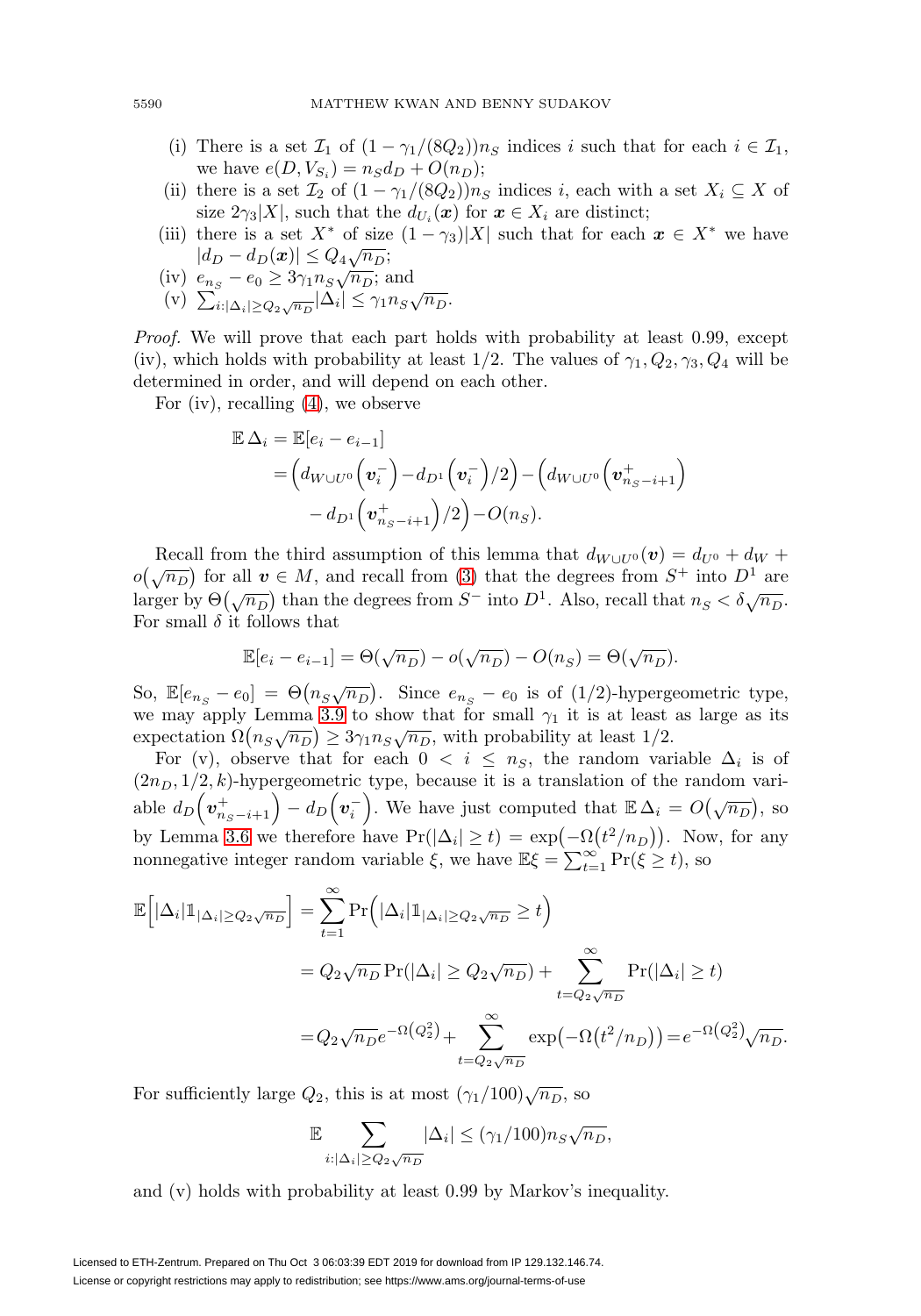- (i) There is a set  $\mathcal{I}_1$  of  $(1 \gamma_1/(8Q_2))n_S$  indices i such that for each  $i \in \mathcal{I}_1$ , we have  $e(D, V_{S_i}) = n_S d_D + O(n_D);$
- (ii) there is a set  $\mathcal{I}_2$  of  $(1 \gamma_1/(8Q_2))n_S$  indices i, each with a set  $X_i \subseteq X$  of size  $2\gamma_3|X|$ , such that the  $d_{U_i}(\boldsymbol{x})$  for  $\boldsymbol{x} \in X_i$  are distinct;
- (iii) there is a set  $X^*$  of size  $(1 \gamma_3)|X|$  such that for each  $x \in X^*$  we have  $|d_D - d_D(\boldsymbol{x})| \leq Q_4 \sqrt{n_D};$
- (iv)  $e_{n_S} e_0 \geq 3\gamma_1 n_S \sqrt{n_D}$ ; and
- (v)  $\sum_{i:|\Delta_i|\geq Q_2\sqrt{n_D}} |\Delta_i| \leq \gamma_1 n_S \sqrt{n_D}$ .

Proof. We will prove that each part holds with probability at least 0.99, except (iv), which holds with probability at least  $1/2$ . The values of  $\gamma_1, Q_2, \gamma_3, Q_4$  will be determined in order, and will depend on each other.

For (iv), recalling [\(4\)](#page-18-0), we observe

$$
\mathbb{E}\,\Delta_i = \mathbb{E}[e_i - e_{i-1}] \n= \Big(d_{W\cup U^0}\Big(\mathbf{v}_i^-\Big) - d_{D^1}\Big(\mathbf{v}_i^-\Big)/2\Big) - \Big(d_{W\cup U^0}\Big(\mathbf{v}_{n_S-i+1}^+\Big) \n- d_{D^1}\Big(\mathbf{v}_{n_S-i+1}^+\Big)/2\Big) - O(n_S).
$$

Recall from the third assumption of this lemma that  $d_{W\cup U^0}(v) = d_{U^0} + d_W +$  $o(\sqrt{n_D})$  for all  $v \in M$ , and recall from [\(3\)](#page-18-1) that the degrees from  $S^+$  into  $D^1$  are larger by  $\Theta(\sqrt{n_D})$  than the degrees from  $S^-$  into  $D^1$ . Also, recall that  $n_S < \delta \sqrt{n_D}$ . For small  $\delta$  it follows that

$$
\mathbb{E}[e_i - e_{i-1}] = \Theta(\sqrt{n_D}) - o(\sqrt{n_D}) - O(n_S) = \Theta(\sqrt{n_D}).
$$

So,  $\mathbb{E}[e_{n_S} - e_0] = \Theta(n_S \sqrt{n_D})$ . Since  $e_{n_S} - e_0$  is of (1/2)-hypergeometric type, we may apply Lemma [3.9](#page-7-1) to show that for small  $\gamma_1$  it is at least as large as its expectation  $\Omega(n_S\sqrt{n_D}) \geq 3\gamma_1 n_S\sqrt{n_D}$ , with probability at least 1/2.

For (v), observe that for each  $0 < i \leq n_S$ , the random variable  $\Delta_i$  is of  $(2n_D, 1/2, k)$ -hypergeometric type, because it is a translation of the random variable  $d_D(\mathbf{v}_{n_S-i+1}^+) - d_D(\mathbf{v}_i^-)$ . We have just computed that  $\mathbb{E}\,\Delta_i = O(\sqrt{n_D})$ , so by Lemma [3.6](#page-6-0) we therefore have  $Pr(|\Delta_i| \ge t) = exp(-\Omega(t^2/n_D))$ . Now, for any nonnegative integer random variable  $\xi$ , we have  $\mathbb{E}\xi = \sum_{t=1}^{\infty} \Pr(\xi \geq t)$ , so

$$
\mathbb{E}\Big[|\Delta_i|\mathbb{1}_{|\Delta_i|\geq Q_2\sqrt{n_D}}\Big] = \sum_{t=1}^{\infty} \Pr\Big(|\Delta_i|\mathbb{1}_{|\Delta_i|\geq Q_2\sqrt{n_D}} \geq t\Big)
$$
  
=  $Q_2\sqrt{n_D} \Pr(|\Delta_i| \geq Q_2\sqrt{n_D}) + \sum_{t=Q_2\sqrt{n_D}}^{\infty} \Pr(|\Delta_i| \geq t)$   
=  $Q_2\sqrt{n_D}e^{-\Omega\left(Q_2^2\right)} + \sum_{t=Q_2\sqrt{n_D}}^{\infty} \exp\left(-\Omega\left(t^2/n_D\right)\right) = e^{-\Omega\left(Q_2^2\right)}\sqrt{n_D}.$ 

For sufficiently large  $Q_2$ , this is at most  $(\gamma_1/100)\sqrt{n_D}$ , so

$$
\mathbb{E} \sum_{i: |\Delta_i| \ge Q_2 \sqrt{n_D}} |\Delta_i| \le (\gamma_1/100) n_S \sqrt{n_D},
$$

and (v) holds with probability at least 0.99 by Markov's inequality.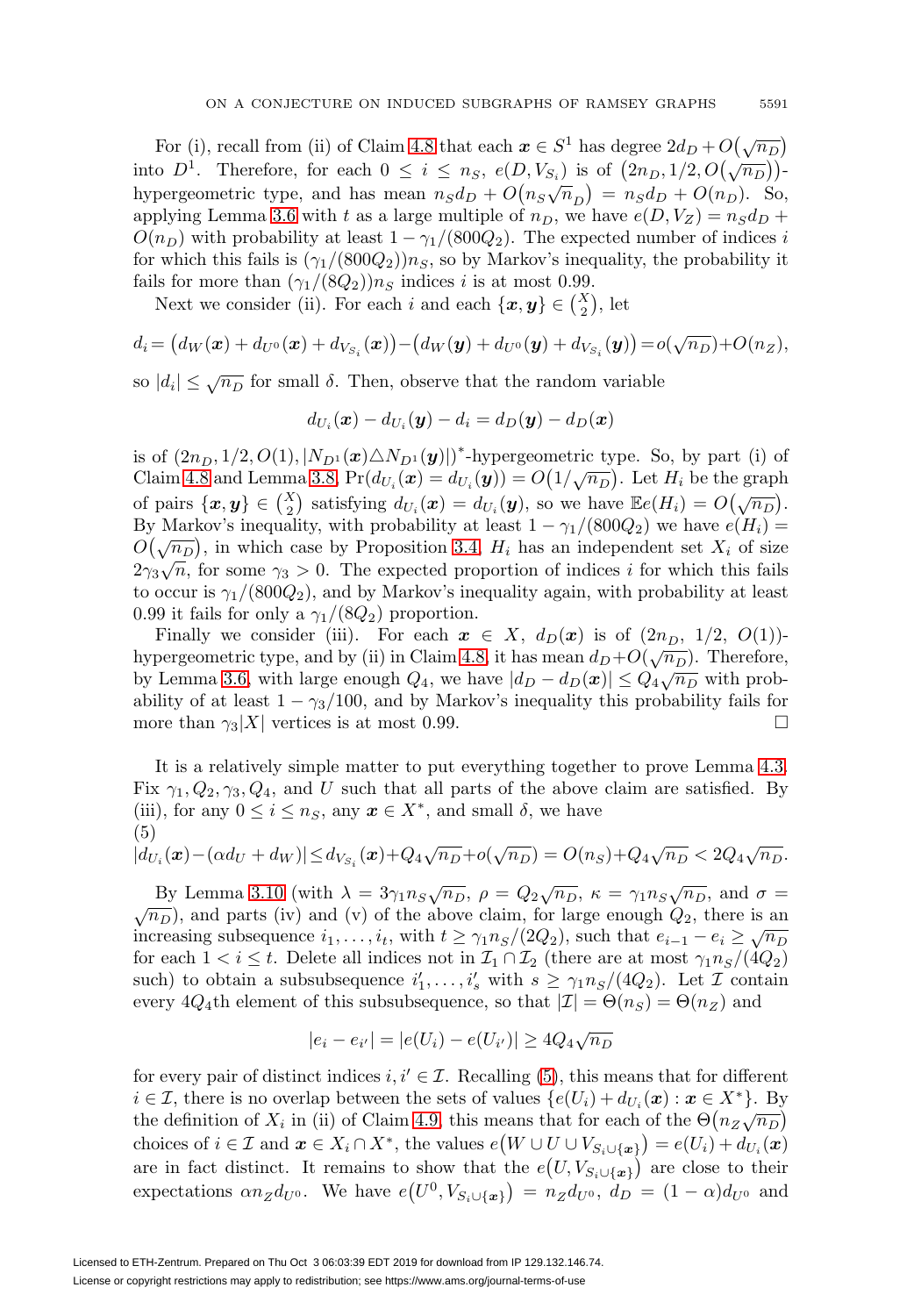For (i), recall from (ii) of Claim [4.8](#page-17-1) that each  $x \in S^1$  has degree  $2d_D + O(\sqrt{n_D})$ into  $D^1$ . Therefore, for each  $0 \le i \le n_S$ ,  $e(D, V_{S_i})$  is of  $(2n_D, 1/2, O(\sqrt{n_D}))$ . hypergeometric type, and has mean  $n_S d_D + O(n_S \sqrt{n}_D) = n_S d_D + O(n_D)$ . So, applying Lemma [3.6](#page-6-0) with t as a large multiple of  $n_D$ , we have  $e(D, V_Z) = n_S d_D +$  $O(n_D)$  with probability at least  $1 - \gamma_1/(800Q_2)$ . The expected number of indices i for which this fails is  $(\gamma_1/(800Q_2))n_S$ , so by Markov's inequality, the probability it fails for more than  $(\gamma_1/(8Q_2))n_S$  indices i is at most 0.99.

Next we consider (ii). For each i and each  $\{\boldsymbol{x}, \boldsymbol{y}\} \in \binom{X}{2}$ , let

$$
d_i = (d_W(\boldsymbol{x}) + d_{U^0}(\boldsymbol{x}) + d_{V_{S_i}}(\boldsymbol{x})) - (d_W(\boldsymbol{y}) + d_{U^0}(\boldsymbol{y}) + d_{V_{S_i}}(\boldsymbol{y})) = o(\sqrt{n_D}) + O(n_Z),
$$

so  $|d_i| \leq \sqrt{n_D}$  for small  $\delta$ . Then, observe that the random variable

$$
d_{U_i}(\boldsymbol{x}) - d_{U_i}(\boldsymbol{y}) - d_i = d_D(\boldsymbol{y}) - d_D(\boldsymbol{x})
$$

is of  $(2n_D, 1/2, O(1), |N_{D^1}(x) \triangle N_{D^1}(y)|)$ <sup>\*</sup>-hypergeometric type. So, by part (i) of Claim [4.8](#page-17-1) and Lemma [3.8,](#page-7-2)  $Pr(d_{U_i}(x) = d_{U_i}(y)) = O(1/\sqrt{n_D})$ . Let  $H_i$  be the graph of pairs  $\{x, y\} \in {X \choose 2}$  satisfying  $d_{U_i}(x) = d_{U_i}(y)$ , so we have  $\mathbb{E}e(H_i) = O(\sqrt{n_D}).$ By Markov's inequality, with probability at least  $1 - \gamma_1/(800Q_2)$  we have  $e(H_i) =$  $O(\sqrt{n_D})$ , in which case by Proposition [3.4,](#page-6-4)  $H_i$  has an independent set  $X_i$  of size  $2\gamma_3\sqrt{n}$ , for some  $\gamma_3 > 0$ . The expected proportion of indices i for which this fails to occur is  $\gamma_1/(800Q_2)$ , and by Markov's inequality again, with probability at least 0.99 it fails for only a  $\gamma_1/(8Q_2)$  proportion.

Finally we consider (iii). For each  $x \in X$ ,  $d_D(x)$  is of  $(2n_D, 1/2, O(1))$ -hypergeometric type, and by (ii) in Claim [4.8,](#page-17-1) it has mean  $d_D+O(\sqrt{n_D})$ . Therefore, by Lemma [3.6,](#page-6-0) with large enough  $Q_4$ , we have  $|d_D - d_D(\mathbf{x})| \leq Q_4 \sqrt{n_D}$  with probability of at least  $1 - \gamma_3/100$ , and by Markov's inequality this probability fails for more than  $\gamma_3|X|$  vertices is at most 0.99.

It is a relatively simple matter to put everything together to prove Lemma [4.3.](#page-9-3) Fix  $\gamma_1, Q_2, \gamma_3, Q_4$ , and U such that all parts of the above claim are satisfied. By (iii), for any  $0 \le i \le n_S$ , any  $x \in X^*$ , and small  $\delta$ , we have (5)

<span id="page-20-0"></span>
$$
|d_{U_i}(\bm{x}) - (\alpha d_U + d_W)| \le d_{V_{S_i}}(\bm{x}) + Q_4 \sqrt{n_D} + o(\sqrt{n_D}) = O(n_S) + Q_4 \sqrt{n_D} < 2Q_4 \sqrt{n_D}.
$$

By Lemma [3.10](#page-8-1) (with  $\lambda = 3\gamma_1 n_S \sqrt{n_D}$ ,  $\rho = Q_2 \sqrt{n_D}$ ,  $\kappa = \gamma_1 n_S \sqrt{n_D}$ , and  $\sigma = \sqrt{n_D}$ ), and parts (iv) and (v) of the above claim, for large enough  $Q_2$ , there is an  $\sqrt{n_D}$ ), and parts (iv) and (v) of the above claim, for large enough  $Q_2$ , there is an increasing subsequence  $i_1, \ldots, i_t$ , with  $t \geq \gamma_1 n_S/(2Q_2)$ , such that  $e_{i-1} - e_i \geq \sqrt{n_D}$ for each  $1 < i \leq t$ . Delete all indices not in  $\mathcal{I}_1 \cap \mathcal{I}_2$  (there are at most  $\gamma_1 n_S/(4Q_2)$ ) such) to obtain a subsubsequence  $i'_1, \ldots, i'_s$  with  $s \geq \gamma_1 n_s/(4Q_2)$ . Let  $\mathcal I$  contain every  $4Q_4$ th element of this subsubsequence, so that  $|\mathcal{I}| = \Theta(n_S) = \Theta(n_Z)$  and

$$
|e_i - e_{i'}| = |e(U_i) - e(U_{i'})| \ge 4Q_4\sqrt{n_D}
$$

for every pair of distinct indices  $i, i' \in \mathcal{I}$ . Recalling [\(5\)](#page-20-0), this means that for different  $i \in \mathcal{I}$ , there is no overlap between the sets of values  $\{e(U_i) + d_{U_i}(\boldsymbol{x}) : \boldsymbol{x} \in X^*\}$ . By the definition of  $X_i$  in (ii) of Claim [4.9,](#page-18-2) this means that for each of the  $\Theta(n_Z\sqrt{n_D})$ choices of  $i \in \mathcal{I}$  and  $\boldsymbol{x} \in X_i \cap X^*$ , the values  $e(W \cup U \cup V_{S_i \cup {\{\boldsymbol{x}\}}}) = e(U_i) + d_{U_i}(\boldsymbol{x})$ are in fact distinct. It remains to show that the  $e(U, V_{S_i \cup \{\bm{x}\}})$  are close to their expectations  $\alpha n_Z d_{U^0}$ . We have  $e(U^0, V_{S_i \cup \{\bm{x}\}}) = n_Z d_{U^0}, d_D = (1 - \alpha) d_{U^0}$  and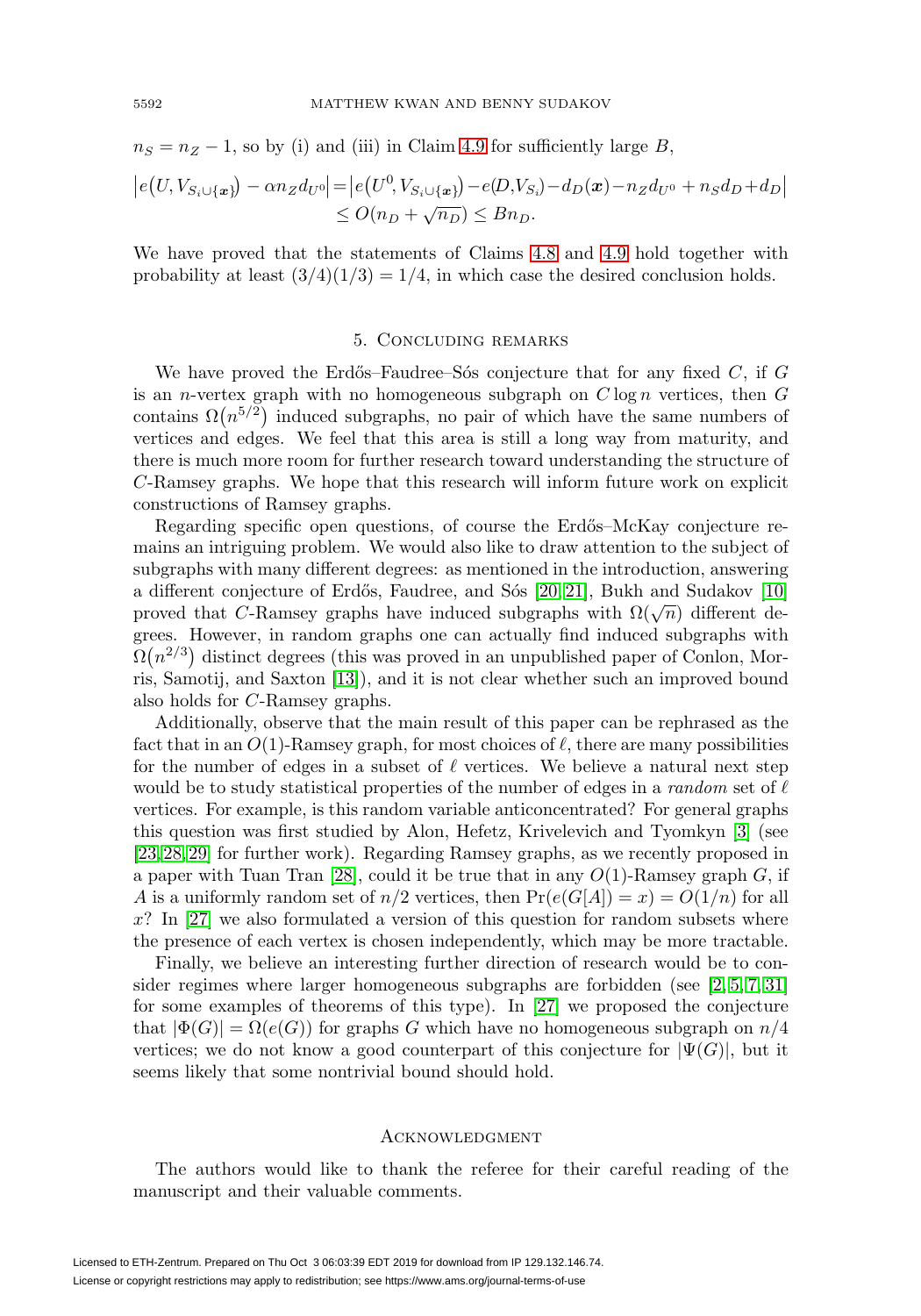$n_S = n_Z - 1$ , so by (i) and (iii) in Claim [4.9](#page-18-2) for sufficiently large B,

$$
\left| e(U, V_{S_i \cup \{x\}}) - \alpha n_Z d_{U^0} \right| = \left| e(U^0, V_{S_i \cup \{x\}}) - e(D, V_{S_i}) - d_D(x) - n_Z d_{U^0} + n_S d_D + d_D \right|
$$
  
\n
$$
\leq O(n_D + \sqrt{n_D}) \leq B n_D.
$$

We have proved that the statements of Claims [4.8](#page-17-1) and [4.9](#page-18-2) hold together with probability at least  $(3/4)(1/3) = 1/4$ , in which case the desired conclusion holds.

## 5. Concluding remarks

<span id="page-21-0"></span>We have proved the Erdős–Faudree–Sós conjecture that for any fixed  $C$ , if  $G$ is an *n*-vertex graph with no homogeneous subgraph on  $C \log n$  vertices, then  $G$ contains  $\Omega(n^{5/2})$  induced subgraphs, no pair of which have the same numbers of vertices and edges. We feel that this area is still a long way from maturity, and there is much more room for further research toward understanding the structure of C-Ramsey graphs. We hope that this research will inform future work on explicit constructions of Ramsey graphs.

Regarding specific open questions, of course the Erdős–McKay conjecture remains an intriguing problem. We would also like to draw attention to the subject of subgraphs with many different degrees: as mentioned in the introduction, answering a different conjecture of Erdős, Faudree, and Sós  $[20, 21]$  $[20, 21]$ , Bukh and Sudakov  $[10]$ proved that C-Ramsey graphs have induced subgraphs with  $\Omega(\sqrt{n})$  different degrees. However, in random graphs one can actually find induced subgraphs with  $\Omega(n^{2/3})$  distinct degrees (this was proved in an unpublished paper of Conlon, Morris, Samotij, and Saxton [\[13\]](#page-22-17)), and it is not clear whether such an improved bound also holds for C-Ramsey graphs.

Additionally, observe that the main result of this paper can be rephrased as the fact that in an  $O(1)$ -Ramsey graph, for most choices of  $\ell$ , there are many possibilities for the number of edges in a subset of  $\ell$  vertices. We believe a natural next step would be to study statistical properties of the number of edges in a *random* set of  $\ell$ vertices. For example, is this random variable anticoncentrated? For general graphs this question was first studied by Alon, Hefetz, Krivelevich and Tyomkyn [\[3\]](#page-22-18) (see [\[23,](#page-23-8) [28,](#page-23-9) [29\]](#page-23-10) for further work). Regarding Ramsey graphs, as we recently proposed in a paper with Tuan Tran [\[28\]](#page-23-9), could it be true that in any  $O(1)$ -Ramsey graph G, if A is a uniformly random set of  $n/2$  vertices, then  $Pr(e(G[A]) = x) = O(1/n)$  for all  $x$ ? In [\[27\]](#page-23-4) we also formulated a version of this question for random subsets where the presence of each vertex is chosen independently, which may be more tractable.

Finally, we believe an interesting further direction of research would be to consider regimes where larger homogeneous subgraphs are forbidden (see [\[2,](#page-22-19) [5,](#page-22-10) [7,](#page-22-20) [31\]](#page-23-11) for some examples of theorems of this type). In [\[27\]](#page-23-4) we proposed the conjecture that  $|\Phi(G)| = \Omega(e(G))$  for graphs G which have no homogeneous subgraph on  $n/4$ vertices; we do not know a good counterpart of this conjecture for  $|\Psi(G)|$ , but it seems likely that some nontrivial bound should hold.

## **ACKNOWLEDGMENT**

The authors would like to thank the referee for their careful reading of the manuscript and their valuable comments.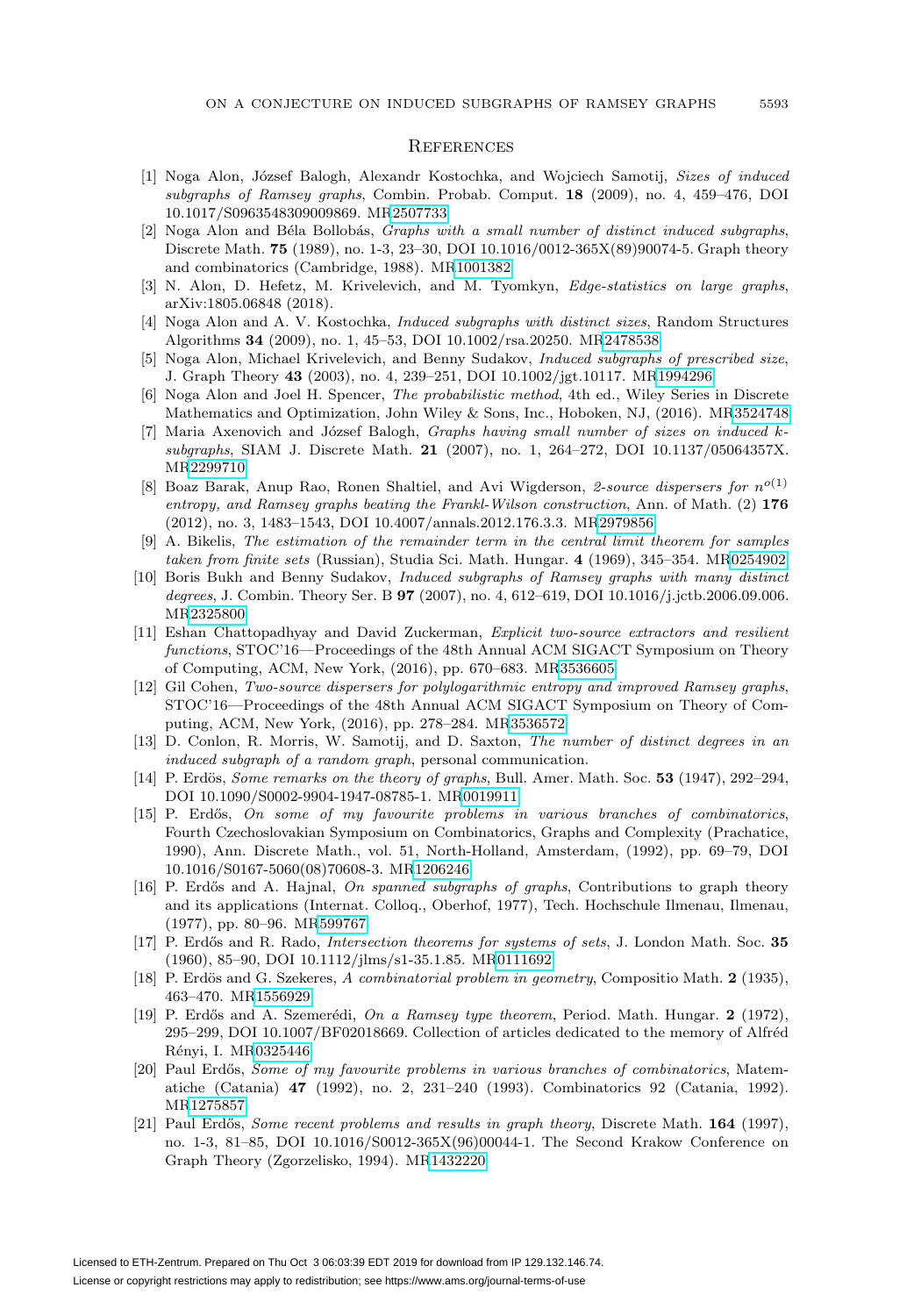#### **REFERENCES**

- <span id="page-22-13"></span>[1] Noga Alon, József Balogh, Alexandr Kostochka, and Wojciech Samotij, Sizes of induced subgraphs of Ramsey graphs, Combin. Probab. Comput. **18** (2009), no. 4, 459–476, DOI 10.1017/S0963548309009869. M[R2507733](https://www.ams.org/mathscinet-getitem?mr=2507733)
- <span id="page-22-19"></span>[2] Noga Alon and Béla Bollobás, Graphs with a small number of distinct induced subgraphs, Discrete Math. **75** (1989), no. 1-3, 23–30, DOI 10.1016/0012-365X(89)90074-5. Graph theory and combinatorics (Cambridge, 1988). M[R1001382](https://www.ams.org/mathscinet-getitem?mr=1001382)
- <span id="page-22-18"></span>[3] N. Alon, D. Hefetz, M. Krivelevich, and M. Tyomkyn, *Edge-statistics on large graphs*, arXiv:1805.06848 (2018).
- <span id="page-22-12"></span>[4] Noga Alon and A. V. Kostochka, Induced subgraphs with distinct sizes, Random Structures Algorithms **34** (2009), no. 1, 45–53, DOI 10.1002/rsa.20250. M[R2478538](https://www.ams.org/mathscinet-getitem?mr=2478538)
- <span id="page-22-10"></span>[5] Noga Alon, Michael Krivelevich, and Benny Sudakov, Induced subgraphs of prescribed size, J. Graph Theory **43** (2003), no. 4, 239–251, DOI 10.1002/jgt.10117. M[R1994296](https://www.ams.org/mathscinet-getitem?mr=1994296)
- <span id="page-22-15"></span>[6] Noga Alon and Joel H. Spencer, The probabilistic method, 4th ed., Wiley Series in Discrete Mathematics and Optimization, John Wiley & Sons, Inc., Hoboken, NJ, (2016). M[R3524748](https://www.ams.org/mathscinet-getitem?mr=3524748)
- <span id="page-22-20"></span>[7] Maria Axenovich and József Balogh, Graphs having small number of sizes on induced ksubgraphs, SIAM J. Discrete Math. **21** (2007), no. 1, 264–272, DOI 10.1137/05064357X. M[R2299710](https://www.ams.org/mathscinet-getitem?mr=2299710)
- <span id="page-22-2"></span>[8] Boaz Barak, Anup Rao, Ronen Shaltiel, and Avi Wigderson, 2-source dispersers for  $n^{o(1)}$ entropy, and Ramsey graphs beating the Frankl-Wilson construction, Ann. of Math. (2) **176** (2012), no. 3, 1483–1543, DOI 10.4007/annals.2012.176.3.3. M[R2979856](https://www.ams.org/mathscinet-getitem?mr=2979856)
- <span id="page-22-16"></span>[9] A. Bikelis, The estimation of the remainder term in the central limit theorem for samples taken from finite sets (Russian), Studia Sci. Math. Hungar. **4** (1969), 345–354. M[R0254902](https://www.ams.org/mathscinet-getitem?mr=0254902)
- <span id="page-22-9"></span>[10] Boris Bukh and Benny Sudakov, Induced subgraphs of Ramsey graphs with many distinct degrees, J. Combin. Theory Ser. B **97** (2007), no. 4, 612–619, DOI 10.1016/j.jctb.2006.09.006. M[R2325800](https://www.ams.org/mathscinet-getitem?mr=2325800)
- <span id="page-22-3"></span>[11] Eshan Chattopadhyay and David Zuckerman, Explicit two-source extractors and resilient functions, STOC'16—Proceedings of the 48th Annual ACM SIGACT Symposium on Theory of Computing, ACM, New York, (2016), pp. 670–683. M[R3536605](https://www.ams.org/mathscinet-getitem?mr=3536605)
- <span id="page-22-4"></span>[12] Gil Cohen, Two-source dispersers for polylogarithmic entropy and improved Ramsey graphs, STOC'16—Proceedings of the 48th Annual ACM SIGACT Symposium on Theory of Computing, ACM, New York, (2016), pp. 278–284. M[R3536572](https://www.ams.org/mathscinet-getitem?mr=3536572)
- <span id="page-22-17"></span>[13] D. Conlon, R. Morris, W. Samotij, and D. Saxton, The number of distinct degrees in an induced subgraph of a random graph, personal communication.
- <span id="page-22-1"></span>[14] P. Erdös, *Some remarks on the theory of graphs*, Bull. Amer. Math. Soc. **53** (1947), 292–294, DOI 10.1090/S0002-9904-1947-08785-1. M[R0019911](https://www.ams.org/mathscinet-getitem?mr=0019911)
- <span id="page-22-11"></span>[15] P. Erd˝os, On some of my favourite problems in various branches of combinatorics, Fourth Czechoslovakian Symposium on Combinatorics, Graphs and Complexity (Prachatice, 1990), Ann. Discrete Math., vol. 51, North-Holland, Amsterdam, (1992), pp. 69–79, DOI 10.1016/S0167-5060(08)70608-3. M[R1206246](https://www.ams.org/mathscinet-getitem?mr=1206246)
- <span id="page-22-6"></span>[16] P. Erdős and A. Hajnal, On spanned subgraphs of graphs, Contributions to graph theory and its applications (Internat. Colloq., Oberhof, 1977), Tech. Hochschule Ilmenau, Ilmenau, (1977), pp. 80–96. M[R599767](https://www.ams.org/mathscinet-getitem?mr=599767)
- <span id="page-22-14"></span>[17] P. Erdős and R. Rado, *Intersection theorems for systems of sets*, J. London Math. Soc. **35** (1960), 85–90, DOI 10.1112/jlms/s1-35.1.85. M[R0111692](https://www.ams.org/mathscinet-getitem?mr=0111692)
- <span id="page-22-0"></span>[18] P. Erdös and G. Szekeres, A combinatorial problem in geometry, Compositio Math. 2 (1935), 463–470. M[R1556929](https://www.ams.org/mathscinet-getitem?mr=1556929)
- <span id="page-22-5"></span>[19] P. Erdős and A. Szemerédi, On a Ramsey type theorem, Period. Math. Hungar. 2 (1972), 295–299, DOI 10.1007/BF02018669. Collection of articles dedicated to the memory of Alfréd Rényi, I. M[R0325446](https://www.ams.org/mathscinet-getitem?mr=0325446)
- <span id="page-22-7"></span>[20] Paul Erdős, Some of my favourite problems in various branches of combinatorics, Matematiche (Catania) **47** (1992), no. 2, 231–240 (1993). Combinatorics 92 (Catania, 1992). M[R1275857](https://www.ams.org/mathscinet-getitem?mr=1275857)
- <span id="page-22-8"></span>[21] Paul Erdős, Some recent problems and results in graph theory, Discrete Math. 164 (1997), no. 1-3, 81–85, DOI 10.1016/S0012-365X(96)00044-1. The Second Krakow Conference on Graph Theory (Zgorzelisko, 1994). M[R1432220](https://www.ams.org/mathscinet-getitem?mr=1432220)